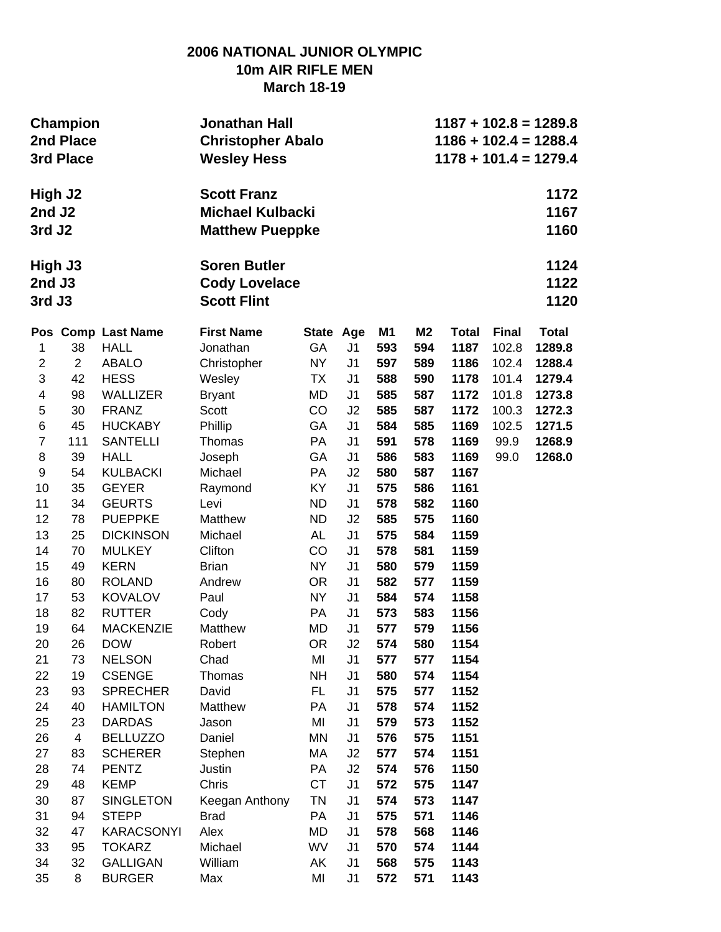## **2006 NATIONAL JUNIOR OLYMPIC 10m AIR RIFLE MEN March 18-19**

|                             | <b>Champion</b><br>2nd Place<br>3rd Place |                    | Jonathan Hall<br><b>Christopher Abalo</b><br><b>Wesley Hess</b>         | $1187 + 102.8 = 1289.8$<br>$1186 + 102.4 = 1288.4$<br>$1178 + 101.4 = 1279.4$ |                |                |                |              |              |                      |  |
|-----------------------------|-------------------------------------------|--------------------|-------------------------------------------------------------------------|-------------------------------------------------------------------------------|----------------|----------------|----------------|--------------|--------------|----------------------|--|
| High J2<br>2nd J2<br>3rd J2 |                                           |                    | <b>Scott Franz</b><br><b>Michael Kulbacki</b><br><b>Matthew Pueppke</b> |                                                                               |                |                |                |              |              | 1172<br>1167<br>1160 |  |
| High J3<br>2nd J3<br>3rd J3 |                                           |                    | <b>Soren Butler</b><br><b>Cody Lovelace</b><br><b>Scott Flint</b>       |                                                                               |                |                |                |              |              | 1124<br>1122<br>1120 |  |
|                             |                                           | Pos Comp Last Name | <b>First Name</b>                                                       | <b>State</b>                                                                  | Age            | M <sub>1</sub> | M <sub>2</sub> | <b>Total</b> | <b>Final</b> | <b>Total</b>         |  |
| 1                           | 38                                        | <b>HALL</b>        | Jonathan                                                                | GA                                                                            | J <sub>1</sub> | 593            | 594            | 1187         | 102.8        | 1289.8               |  |
| $\overline{2}$              | $\overline{2}$                            | <b>ABALO</b>       | Christopher                                                             | <b>NY</b>                                                                     | J <sub>1</sub> | 597            | 589            | 1186         | 102.4        | 1288.4               |  |
| 3                           | 42                                        | <b>HESS</b>        | Wesley                                                                  | TX                                                                            | J <sub>1</sub> | 588            | 590            | 1178         | 101.4        | 1279.4               |  |
| 4                           | 98                                        | <b>WALLIZER</b>    | <b>Bryant</b>                                                           | MD                                                                            | J1             | 585            | 587            | 1172         | 101.8        | 1273.8               |  |
| 5                           | 30                                        | <b>FRANZ</b>       | Scott                                                                   | CO                                                                            | J2             | 585            | 587            | 1172         | 100.3        | 1272.3               |  |
| 6                           | 45                                        | <b>HUCKABY</b>     | Phillip                                                                 | GA                                                                            | J <sub>1</sub> | 584            | 585            | 1169         | 102.5        | 1271.5               |  |
| $\overline{7}$              | 111                                       | <b>SANTELLI</b>    | Thomas                                                                  | PA                                                                            | J <sub>1</sub> | 591            | 578            | 1169         | 99.9         | 1268.9               |  |
| 8                           | 39                                        | <b>HALL</b>        | Joseph                                                                  | GA                                                                            | J <sub>1</sub> | 586            | 583            | 1169         | 99.0         | 1268.0               |  |
| 9                           | 54                                        | <b>KULBACKI</b>    | Michael                                                                 | <b>PA</b>                                                                     | J2             | 580            | 587            | 1167         |              |                      |  |
| 10                          | 35                                        | <b>GEYER</b>       | Raymond                                                                 | KY                                                                            | J <sub>1</sub> | 575            | 586            | 1161         |              |                      |  |
| 11                          | 34                                        | <b>GEURTS</b>      | Levi                                                                    | <b>ND</b>                                                                     | J <sub>1</sub> | 578            | 582            | 1160         |              |                      |  |
| 12                          | 78                                        | <b>PUEPPKE</b>     | Matthew                                                                 | <b>ND</b>                                                                     | J2             | 585            | 575            | 1160         |              |                      |  |
| 13                          | 25                                        | <b>DICKINSON</b>   | Michael                                                                 | AL                                                                            | J <sub>1</sub> | 575            | 584            | 1159         |              |                      |  |
| 14                          | 70                                        | <b>MULKEY</b>      | Clifton                                                                 | CO                                                                            | J <sub>1</sub> | 578            | 581            | 1159         |              |                      |  |
| 15                          | 49                                        | <b>KERN</b>        | <b>Brian</b>                                                            | <b>NY</b>                                                                     | J <sub>1</sub> | 580            | 579            | 1159         |              |                      |  |
| 16                          | 80                                        | <b>ROLAND</b>      | Andrew                                                                  | <b>OR</b>                                                                     | J <sub>1</sub> | 582            | 577            | 1159         |              |                      |  |
| 17                          | 53                                        | <b>KOVALOV</b>     | Paul                                                                    | <b>NY</b>                                                                     | J <sub>1</sub> | 584            | 574            | 1158         |              |                      |  |
| 18                          | 82                                        | <b>RUTTER</b>      | Cody                                                                    | PA                                                                            | J <sub>1</sub> | 573            | 583            | 1156         |              |                      |  |
| 19                          | 64                                        | <b>MACKENZIE</b>   | Matthew                                                                 | <b>MD</b>                                                                     | J <sub>1</sub> | 577            | 579            | 1156         |              |                      |  |
| 20                          | 26                                        | <b>DOW</b>         | Robert                                                                  | <b>OR</b>                                                                     | J2             | 574            | 580            | 1154         |              |                      |  |
| 21                          | 73                                        | <b>NELSON</b>      | Chad                                                                    | MI                                                                            | J <sub>1</sub> | 577            | 577            | 1154         |              |                      |  |
| 22                          | 19                                        | <b>CSENGE</b>      | Thomas                                                                  | <b>NH</b>                                                                     | J <sub>1</sub> | 580            | 574            | 1154         |              |                      |  |
| 23                          | 93                                        | <b>SPRECHER</b>    | David                                                                   | <b>FL</b>                                                                     | J <sub>1</sub> | 575            | 577            | 1152         |              |                      |  |
| 24                          | 40                                        | <b>HAMILTON</b>    | Matthew                                                                 | PA                                                                            | J <sub>1</sub> | 578            | 574            | 1152         |              |                      |  |
| 25                          | 23                                        | <b>DARDAS</b>      | Jason                                                                   | MI                                                                            | J <sub>1</sub> | 579            | 573            | 1152         |              |                      |  |
| 26                          | $\overline{4}$                            | <b>BELLUZZO</b>    | Daniel                                                                  | MN                                                                            | J1             | 576            | 575            | 1151         |              |                      |  |
| 27                          | 83                                        | <b>SCHERER</b>     | Stephen                                                                 | МA                                                                            | J2             | 577            | 574            | 1151         |              |                      |  |
| 28                          | 74                                        | <b>PENTZ</b>       | Justin                                                                  | PA                                                                            | J2             | 574            | 576            | 1150         |              |                      |  |
| 29                          | 48                                        | <b>KEMP</b>        | Chris                                                                   | <b>CT</b>                                                                     | J <sub>1</sub> | 572            | 575            | 1147         |              |                      |  |
| 30                          | 87                                        | <b>SINGLETON</b>   | Keegan Anthony                                                          | TN                                                                            | J <sub>1</sub> | 574            | 573            | 1147         |              |                      |  |
| 31                          | 94                                        | <b>STEPP</b>       | <b>Brad</b>                                                             | PA                                                                            | J <sub>1</sub> | 575            | 571            | 1146         |              |                      |  |
| 32                          | 47                                        | <b>KARACSONYI</b>  | Alex                                                                    | MD                                                                            | J <sub>1</sub> | 578            | 568            | 1146         |              |                      |  |
| 33                          | 95                                        | <b>TOKARZ</b>      | Michael                                                                 | WV                                                                            | J <sub>1</sub> | 570            | 574            | 1144         |              |                      |  |
| 34                          | 32                                        | <b>GALLIGAN</b>    | William                                                                 | AK                                                                            | J <sub>1</sub> | 568            | 575            | 1143         |              |                      |  |
| 35                          | 8                                         | <b>BURGER</b>      | Max                                                                     | MI                                                                            | J <sub>1</sub> | 572            | 571            | 1143         |              |                      |  |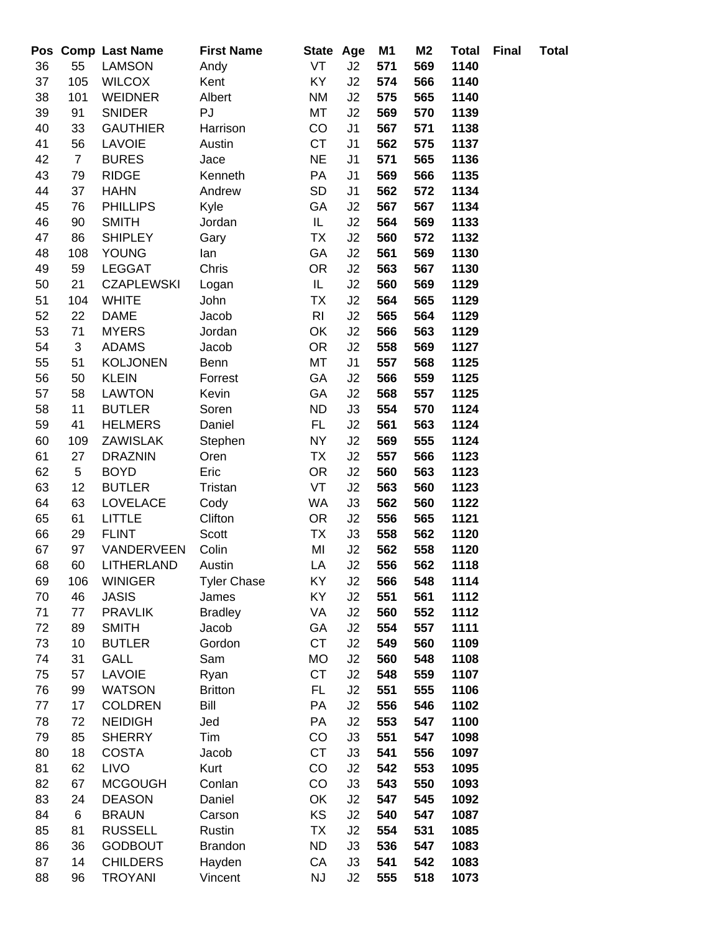|          |                | Pos Comp Last Name             | <b>First Name</b>  | State Age      |                | M <sub>1</sub> | M <sub>2</sub> | <b>Total</b> | <b>Final</b> | <b>Total</b> |
|----------|----------------|--------------------------------|--------------------|----------------|----------------|----------------|----------------|--------------|--------------|--------------|
| 36       | 55             | <b>LAMSON</b>                  | Andy               | VT             | J2             | 571            | 569            | 1140         |              |              |
| 37       | 105            | <b>WILCOX</b>                  | Kent               | KY.            | J2             | 574            | 566            | 1140         |              |              |
| 38       | 101            | <b>WEIDNER</b>                 | Albert             | ΝM             | J <sub>2</sub> | 575            | 565            | 1140         |              |              |
| 39       | 91             | <b>SNIDER</b>                  | PJ                 | MT             | J2             | 569            | 570            | 1139         |              |              |
| 40       | 33             | <b>GAUTHIER</b>                | Harrison           | CO             | J <sub>1</sub> | 567            | 571            | 1138         |              |              |
| 41       | 56             | <b>LAVOIE</b>                  | Austin             | <b>CT</b>      | J <sub>1</sub> | 562            | 575            | 1137         |              |              |
| 42       | $\overline{7}$ | <b>BURES</b>                   | Jace               | <b>NE</b>      | J <sub>1</sub> | 571            | 565            | 1136         |              |              |
| 43       | 79             | <b>RIDGE</b>                   | Kenneth            | PA             | J1             | 569            | 566            | 1135         |              |              |
| 44       | 37             | <b>HAHN</b>                    | Andrew             | SD             | J <sub>1</sub> | 562            | 572            | 1134         |              |              |
| 45       | 76             | <b>PHILLIPS</b>                | Kyle               | GA             | J2             | 567            | 567            | 1134         |              |              |
| 46       | 90             | <b>SMITH</b>                   | Jordan             | IL.            | J2             | 564            | 569            | 1133         |              |              |
| 47       | 86             | <b>SHIPLEY</b>                 | Gary               | TX             | J2             | 560            | 572            | 1132         |              |              |
| 48       | 108            | <b>YOUNG</b>                   | lan                | GA             | J2             | 561            | 569            | 1130         |              |              |
| 49       | 59             | <b>LEGGAT</b>                  | Chris              | <b>OR</b>      | J2             | 563            | 567            | 1130         |              |              |
| 50       | 21             | <b>CZAPLEWSKI</b>              | Logan              | IL             | J2             | 560            | 569            | 1129         |              |              |
| 51       | 104            | <b>WHITE</b>                   | John               | <b>TX</b>      | J2             | 564            | 565            | 1129         |              |              |
| 52       | 22             | <b>DAME</b>                    | Jacob              | R <sub>l</sub> | J2             | 565            | 564            | 1129         |              |              |
| 53       | 71             | <b>MYERS</b>                   | Jordan             | OK             | J2             | 566            | 563            | 1129         |              |              |
| 54       | $\mathfrak{S}$ | <b>ADAMS</b>                   | Jacob              | <b>OR</b>      | J2             | 558            | 569            | 1127         |              |              |
| 55       | 51             | <b>KOLJONEN</b>                | Benn               | МT             | J1             | 557            | 568            | 1125         |              |              |
| 56       | 50             | <b>KLEIN</b>                   | Forrest            | GA             | J2             | 566            | 559            | 1125         |              |              |
| 57       | 58             | <b>LAWTON</b>                  | Kevin              | GA             | J2             | 568            | 557            | 1125         |              |              |
| 58       | 11             | <b>BUTLER</b>                  | Soren              | <b>ND</b>      | J3             | 554            | 570            | 1124         |              |              |
| 59       | 41             | <b>HELMERS</b>                 | Daniel             | FL.            | J2             | 561            | 563            | 1124         |              |              |
| 60       | 109            | ZAWISLAK                       | Stephen            | NY             | J2             | 569            | 555            | 1124         |              |              |
| 61       | 27             | <b>DRAZNIN</b>                 | Oren               | <b>TX</b>      | J2             | 557            | 566            | 1123         |              |              |
| 62       | 5              | <b>BOYD</b>                    | Eric               | <b>OR</b>      | J2             | 560            | 563            | 1123         |              |              |
| 63       | 12             | <b>BUTLER</b>                  | Tristan            | VT             | J2             | 563            | 560            | 1123         |              |              |
| 64       | 63             | <b>LOVELACE</b>                | Cody               | WA             | J3             | 562            | 560            | 1122         |              |              |
| 65       | 61             | <b>LITTLE</b>                  | Clifton            | OR.            | J2             | 556            | 565            | 1121         |              |              |
| 66       | 29             | <b>FLINT</b>                   | Scott              | TX             | J3             | 558            | 562            | 1120         |              |              |
| 67       | 97             | VANDERVEEN                     | Colin              | MI             | J2             | 562            | 558            | 1120         |              |              |
| 68       | 60             | LITHERLAND                     | Austin             | LA             | J2             | 556            | 562            | 1118         |              |              |
| 69       | 106            | <b>WINIGER</b>                 | <b>Tyler Chase</b> | ΚY             | J2             | 566            | 548            | 1114         |              |              |
| 70       | 46             | <b>JASIS</b>                   | James              | KY             | J2             | 551            | 561            | 1112         |              |              |
| 71       | 77             | <b>PRAVLIK</b>                 | <b>Bradley</b>     | VA             | J2             | 560            | 552            | 1112         |              |              |
| 72       | 89             | <b>SMITH</b>                   | Jacob              | GА             | J2             | 554            | 557            | 1111         |              |              |
| 73       | 10             | <b>BUTLER</b>                  | Gordon             | <b>CT</b>      | J2             | 549            | 560            | 1109         |              |              |
| 74       | 31             | GALL                           | Sam                | МO             | J2             | 560            | 548            | 1108         |              |              |
| 75       | 57             | <b>LAVOIE</b>                  | Ryan               | <b>CT</b>      | J2             | 548            | 559            | 1107         |              |              |
| 76       | 99             | <b>WATSON</b>                  | <b>Britton</b>     | FL.            | J2             | 551            | 555            | 1106         |              |              |
| 77       | 17             | <b>COLDREN</b>                 | Bill               | PA             | J2             | 556            | 546            | 1102         |              |              |
| 78       | 72             | <b>NEIDIGH</b>                 | Jed                | PA             | J2             | 553            | 547            | 1100         |              |              |
| 79       | 85             | <b>SHERRY</b>                  | Tim                | CO             | J3             | 551            | 547            | 1098         |              |              |
| 80       | 18             | <b>COSTA</b>                   | Jacob              | <b>CT</b>      | J3             | 541            | 556            | 1097         |              |              |
| 81       | 62             | <b>LIVO</b>                    | Kurt               | CO             | J2             | 542            | 553            | 1095         |              |              |
| 82       | 67             | <b>MCGOUGH</b>                 | Conlan             | CO             | J3             | 543            | 550            | 1093         |              |              |
| 83       | 24             | <b>DEASON</b>                  | Daniel             | OK<br>KS       | J2<br>J2       | 547<br>540     | 545            | 1092<br>1087 |              |              |
| 84<br>85 | 6<br>81        | <b>BRAUN</b><br><b>RUSSELL</b> | Carson<br>Rustin   | ТX             | J2             | 554            | 547<br>531     | 1085         |              |              |
| 86       | 36             | <b>GODBOUT</b>                 | <b>Brandon</b>     | <b>ND</b>      | J3             | 536            | 547            | 1083         |              |              |
| 87       | 14             | <b>CHILDERS</b>                | Hayden             | СA             | J3             | 541            | 542            | 1083         |              |              |
| 88       | 96             | <b>TROYANI</b>                 | Vincent            | NJ             | J <sub>2</sub> | 555            | 518            | 1073         |              |              |
|          |                |                                |                    |                |                |                |                |              |              |              |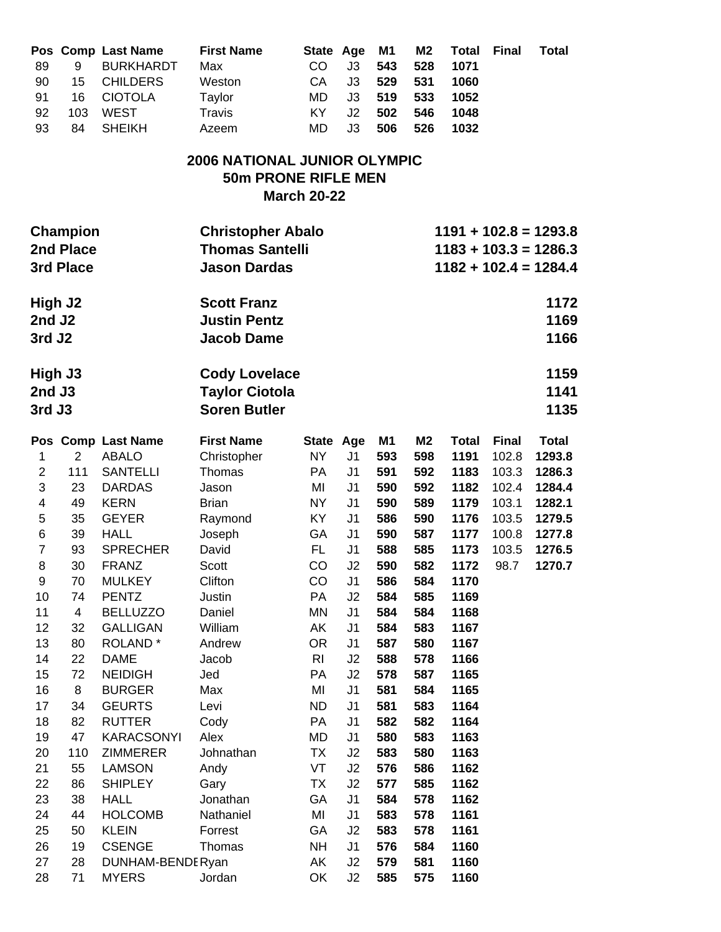| 89<br>90<br>91<br>92<br>93  | 9<br>15<br>16<br>103<br>84                | Pos Comp Last Name<br><b>BURKHARDT</b><br><b>CHILDERS</b><br><b>CIOTOLA</b><br><b>WEST</b><br><b>SHEIKH</b> | <b>First Name</b><br>Max<br>Weston<br>Taylor<br>Travis<br>Azeem           | State Age<br>CO<br>CA<br>MD<br>KY<br>MD | J3<br>J3<br>J3<br>J2<br>J3 | M <sub>1</sub><br>543<br>529<br>519<br>502<br>506 | M <sub>2</sub><br>528<br>531<br>533<br>546<br>526 | <b>Total</b><br>1071<br>1060<br>1052<br>1048<br>1032 | <b>Final</b> | <b>Total</b>                                                                  |
|-----------------------------|-------------------------------------------|-------------------------------------------------------------------------------------------------------------|---------------------------------------------------------------------------|-----------------------------------------|----------------------------|---------------------------------------------------|---------------------------------------------------|------------------------------------------------------|--------------|-------------------------------------------------------------------------------|
|                             |                                           |                                                                                                             | <b>2006 NATIONAL JUNIOR OLYMPIC</b><br><b>50m PRONE RIFLE MEN</b>         | <b>March 20-22</b>                      |                            |                                                   |                                                   |                                                      |              |                                                                               |
|                             | <b>Champion</b><br>2nd Place<br>3rd Place |                                                                                                             | <b>Christopher Abalo</b><br><b>Thomas Santelli</b><br><b>Jason Dardas</b> |                                         |                            |                                                   |                                                   |                                                      |              | $1191 + 102.8 = 1293.8$<br>$1183 + 103.3 = 1286.3$<br>$1182 + 102.4 = 1284.4$ |
| High J2<br>2nd J2<br>3rd J2 |                                           |                                                                                                             | <b>Scott Franz</b><br><b>Justin Pentz</b><br><b>Jacob Dame</b>            |                                         |                            |                                                   |                                                   |                                                      |              | 1172<br>1169<br>1166                                                          |
| High J3<br>2nd J3<br>3rd J3 |                                           |                                                                                                             | <b>Cody Lovelace</b><br><b>Taylor Ciotola</b><br><b>Soren Butler</b>      |                                         |                            |                                                   |                                                   |                                                      |              | 1159<br>1141<br>1135                                                          |
|                             |                                           | Pos Comp Last Name                                                                                          | <b>First Name</b>                                                         | State Age                               |                            | M <sub>1</sub>                                    | M <sub>2</sub>                                    | <b>Total</b>                                         | <b>Final</b> | <b>Total</b>                                                                  |
| 1                           | $\overline{2}$                            | <b>ABALO</b>                                                                                                | Christopher                                                               | NY                                      | J1                         | 593                                               | 598                                               | 1191                                                 | 102.8        | 1293.8                                                                        |
| $\overline{2}$              | 111                                       | <b>SANTELLI</b>                                                                                             | Thomas                                                                    | PA                                      | J <sub>1</sub>             | 591                                               | 592                                               | 1183                                                 | 103.3        | 1286.3                                                                        |
| 3                           | 23                                        | <b>DARDAS</b>                                                                                               | Jason                                                                     | MI                                      | J <sub>1</sub>             | 590                                               | 592                                               | 1182                                                 | 102.4        | 1284.4                                                                        |
| $\overline{\mathbf{4}}$     | 49                                        | <b>KERN</b>                                                                                                 | <b>Brian</b>                                                              | <b>NY</b>                               | J <sub>1</sub>             | 590                                               | 589                                               | 1179                                                 | 103.1        | 1282.1                                                                        |
| 5                           | 35                                        | <b>GEYER</b>                                                                                                | Raymond                                                                   | KY                                      | J <sub>1</sub>             | 586                                               | 590                                               | 1176                                                 | 103.5        | 1279.5                                                                        |
| 6                           | 39                                        | <b>HALL</b>                                                                                                 | Joseph                                                                    | GA                                      | J <sub>1</sub>             | 590                                               | 587                                               | 1177                                                 | 100.8        | 1277.8                                                                        |
| $\overline{7}$              | 93                                        | <b>SPRECHER</b>                                                                                             | David                                                                     | FL.                                     | J <sub>1</sub>             | 588                                               | 585                                               | 1173                                                 | 103.5        | 1276.5                                                                        |
| 8                           | 30                                        | <b>FRANZ</b>                                                                                                | <b>Scott</b>                                                              | CO                                      | J <sub>2</sub>             | 590                                               | 582                                               | 1172                                                 | 98.7         | 1270.7                                                                        |
| 9                           | 70                                        | <b>MULKEY</b>                                                                                               | Clifton                                                                   | CO                                      | J <sub>1</sub>             | 586                                               | 584                                               | 1170                                                 |              |                                                                               |
| 10<br>11                    | 74<br>4                                   | <b>PENTZ</b><br><b>BELLUZZO</b>                                                                             | Justin<br>Daniel                                                          | PA<br><b>MN</b>                         | J2<br>J1                   | 584<br>584                                        | 585<br>584                                        | 1169<br>1168                                         |              |                                                                               |
| 12                          | 32                                        | <b>GALLIGAN</b>                                                                                             | William                                                                   | AK                                      | J1                         | 584                                               | 583                                               | 1167                                                 |              |                                                                               |
| 13                          | 80                                        | ROLAND <sup>*</sup>                                                                                         | Andrew                                                                    | <b>OR</b>                               | J1                         | 587                                               | 580                                               | 1167                                                 |              |                                                                               |
| 14                          | 22                                        | <b>DAME</b>                                                                                                 | Jacob                                                                     | R <sub>l</sub>                          | J2                         | 588                                               | 578                                               | 1166                                                 |              |                                                                               |
| 15                          | 72                                        | <b>NEIDIGH</b>                                                                                              | Jed                                                                       | PA                                      | J2                         | 578                                               | 587                                               | 1165                                                 |              |                                                                               |
| 16                          | 8                                         | <b>BURGER</b>                                                                                               | Max                                                                       | MI                                      | J <sub>1</sub>             | 581                                               | 584                                               | 1165                                                 |              |                                                                               |
| 17                          | 34                                        | <b>GEURTS</b>                                                                                               | Levi                                                                      | <b>ND</b>                               | J1                         | 581                                               | 583                                               | 1164                                                 |              |                                                                               |
| 18                          | 82                                        | <b>RUTTER</b>                                                                                               | Cody                                                                      | PA                                      | J1                         | 582                                               | 582                                               | 1164                                                 |              |                                                                               |
| 19                          | 47                                        | <b>KARACSONYI</b>                                                                                           | Alex                                                                      | MD                                      | J <sub>1</sub>             | 580                                               | 583                                               | 1163                                                 |              |                                                                               |
| 20                          | 110                                       | <b>ZIMMERER</b>                                                                                             | Johnathan                                                                 | ТX                                      | J2                         | 583                                               | 580                                               | 1163                                                 |              |                                                                               |
| 21                          | 55                                        | <b>LAMSON</b>                                                                                               | Andy                                                                      | VT                                      | J2                         | 576                                               | 586                                               | 1162                                                 |              |                                                                               |
| 22                          | 86                                        | <b>SHIPLEY</b>                                                                                              | Gary                                                                      | ТX                                      | J2                         | 577                                               | 585                                               | 1162                                                 |              |                                                                               |
| 23                          | 38                                        | <b>HALL</b>                                                                                                 | Jonathan                                                                  | GA                                      | J1                         | 584                                               | 578                                               | 1162                                                 |              |                                                                               |
| 24                          | 44                                        | <b>HOLCOMB</b>                                                                                              | Nathaniel                                                                 | MI                                      | J <sub>1</sub>             | 583                                               | 578                                               | 1161                                                 |              |                                                                               |
| 25                          | 50                                        | <b>KLEIN</b>                                                                                                | Forrest                                                                   | GA                                      | J2                         | 583                                               | 578                                               | 1161                                                 |              |                                                                               |
| 26                          | 19                                        | <b>CSENGE</b>                                                                                               | Thomas                                                                    | <b>NH</b>                               | J1                         | 576                                               | 584                                               | 1160                                                 |              |                                                                               |
| 27                          | 28                                        | DUNHAM-BENDERyan                                                                                            |                                                                           | AK                                      | J2                         | 579                                               | 581                                               | 1160                                                 |              |                                                                               |
| 28                          | 71                                        | <b>MYERS</b>                                                                                                | Jordan                                                                    | OK                                      | J2                         | 585                                               | 575                                               | 1160                                                 |              |                                                                               |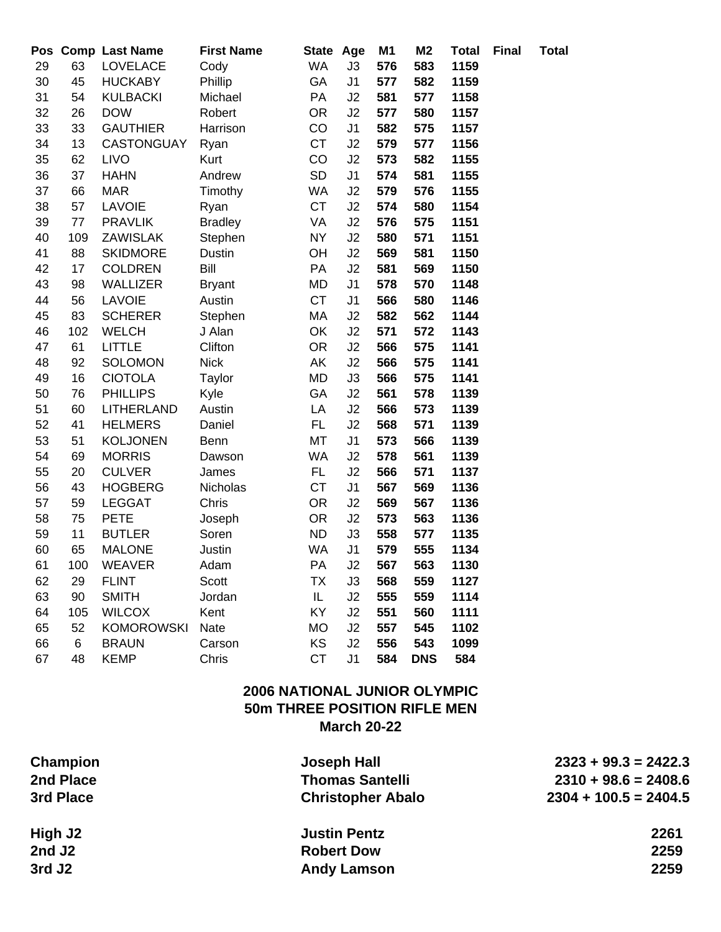| Pos |     | <b>Comp Last Name</b> | <b>First Name</b> | State Age |                | M <sub>1</sub> | M <sub>2</sub> | <b>Total</b> | <b>Final</b> | <b>Total</b> |
|-----|-----|-----------------------|-------------------|-----------|----------------|----------------|----------------|--------------|--------------|--------------|
| 29  | 63  | <b>LOVELACE</b>       | Cody              | <b>WA</b> | J3             | 576            | 583            | 1159         |              |              |
| 30  | 45  | <b>HUCKABY</b>        | Phillip           | GA        | J1             | 577            | 582            | 1159         |              |              |
| 31  | 54  | <b>KULBACKI</b>       | Michael           | PA        | J2             | 581            | 577            | 1158         |              |              |
| 32  | 26  | <b>DOW</b>            | Robert            | <b>OR</b> | J2             | 577            | 580            | 1157         |              |              |
| 33  | 33  | <b>GAUTHIER</b>       | Harrison          | CO        | J <sub>1</sub> | 582            | 575            | 1157         |              |              |
| 34  | 13  | <b>CASTONGUAY</b>     | Ryan              | <b>CT</b> | J2             | 579            | 577            | 1156         |              |              |
| 35  | 62  | <b>LIVO</b>           | Kurt              | CO        | J2             | 573            | 582            | 1155         |              |              |
| 36  | 37  | <b>HAHN</b>           | Andrew            | <b>SD</b> | J1             | 574            | 581            | 1155         |              |              |
| 37  | 66  | <b>MAR</b>            | Timothy           | WA        | J2             | 579            | 576            | 1155         |              |              |
| 38  | 57  | LAVOIE                | Ryan              | <b>CT</b> | J2             | 574            | 580            | 1154         |              |              |
| 39  | 77  | <b>PRAVLIK</b>        | <b>Bradley</b>    | VA        | J2             | 576            | 575            | 1151         |              |              |
| 40  | 109 | <b>ZAWISLAK</b>       | Stephen           | <b>NY</b> | J2             | 580            | 571            | 1151         |              |              |
| 41  | 88  | <b>SKIDMORE</b>       | <b>Dustin</b>     | OH        | J2             | 569            | 581            | 1150         |              |              |
| 42  | 17  | <b>COLDREN</b>        | Bill              | PA        | J2             | 581            | 569            | 1150         |              |              |
| 43  | 98  | <b>WALLIZER</b>       | <b>Bryant</b>     | <b>MD</b> | J1             | 578            | 570            | 1148         |              |              |
| 44  | 56  | <b>LAVOIE</b>         | Austin            | <b>CT</b> | J <sub>1</sub> | 566            | 580            | 1146         |              |              |
| 45  | 83  | <b>SCHERER</b>        | Stephen           | МA        | J2             | 582            | 562            | 1144         |              |              |
| 46  | 102 | <b>WELCH</b>          | J Alan            | OK        | J2             | 571            | 572            | 1143         |              |              |
| 47  | 61  | <b>LITTLE</b>         | Clifton           | <b>OR</b> | J2             | 566            | 575            | 1141         |              |              |
| 48  | 92  | <b>SOLOMON</b>        | <b>Nick</b>       | AΚ        | J2             | 566            | 575            | 1141         |              |              |
| 49  | 16  | <b>CIOTOLA</b>        | Taylor            | MD        | J3             | 566            | 575            | 1141         |              |              |
| 50  | 76  | <b>PHILLIPS</b>       | Kyle              | GA        | J2             | 561            | 578            | 1139         |              |              |
| 51  | 60  | LITHERLAND            | Austin            | LA        | J2             | 566            | 573            | 1139         |              |              |
| 52  | 41  | <b>HELMERS</b>        | Daniel            | FL        | J2             | 568            | 571            | 1139         |              |              |
| 53  | 51  | <b>KOLJONEN</b>       | Benn              | MT        | J1             | 573            | 566            | 1139         |              |              |
| 54  | 69  | <b>MORRIS</b>         | Dawson            | <b>WA</b> | J2             | 578            | 561            | 1139         |              |              |
| 55  | 20  | <b>CULVER</b>         | James             | FL.       | J2             | 566            | 571            | 1137         |              |              |
| 56  | 43  | <b>HOGBERG</b>        | Nicholas          | <b>CT</b> | J <sub>1</sub> | 567            | 569            | 1136         |              |              |
| 57  | 59  | <b>LEGGAT</b>         | Chris             | <b>OR</b> | J2             | 569            | 567            | 1136         |              |              |
| 58  | 75  | <b>PETE</b>           | Joseph            | <b>OR</b> | J2             | 573            | 563            | 1136         |              |              |
| 59  | 11  | <b>BUTLER</b>         | Soren             | <b>ND</b> | J3             | 558            | 577            | 1135         |              |              |
| 60  | 65  | <b>MALONE</b>         | Justin            | WA        | J <sub>1</sub> | 579            | 555            | 1134         |              |              |
| 61  | 100 | <b>WEAVER</b>         | Adam              | PA        | J2             | 567            | 563            | 1130         |              |              |
| 62  | 29  | <b>FLINT</b>          | Scott             | ТX        | J3             | 568            | 559            | 1127         |              |              |
| 63  | 90  | <b>SMITH</b>          | Jordan            | IL        | J2             | 555            | 559            | 1114         |              |              |
| 64  | 105 | <b>WILCOX</b>         | Kent              | KY        | J2             | 551            | 560            | 1111         |              |              |
| 65  | 52  | <b>KOMOROWSKI</b>     | Nate              | <b>MO</b> | J2             | 557            | 545            | 1102         |              |              |
| 66  | 6   | <b>BRAUN</b>          | Carson            | KS        | J2             | 556            | 543            | 1099         |              |              |
| 67  | 48  | <b>KEMP</b>           | Chris             | <b>CT</b> | J <sub>1</sub> | 584            | <b>DNS</b>     | 584          |              |              |

## **2006 NATIONAL JUNIOR OLYMPIC 50m THREE POSITION RIFLE MEN March 20-22**

| Champion  | <b>Joseph Hall</b>       | $2323 + 99.3 = 2422.3$  |
|-----------|--------------------------|-------------------------|
| 2nd Place | <b>Thomas Santelli</b>   | $2310 + 98.6 = 2408.6$  |
| 3rd Place | <b>Christopher Abalo</b> | $2304 + 100.5 = 2404.5$ |
| High J2   | <b>Justin Pentz</b>      | 2261                    |
| 2nd J2    | <b>Robert Dow</b>        | 2259                    |
| 3rd J2    | <b>Andy Lamson</b>       | 2259                    |
|           |                          |                         |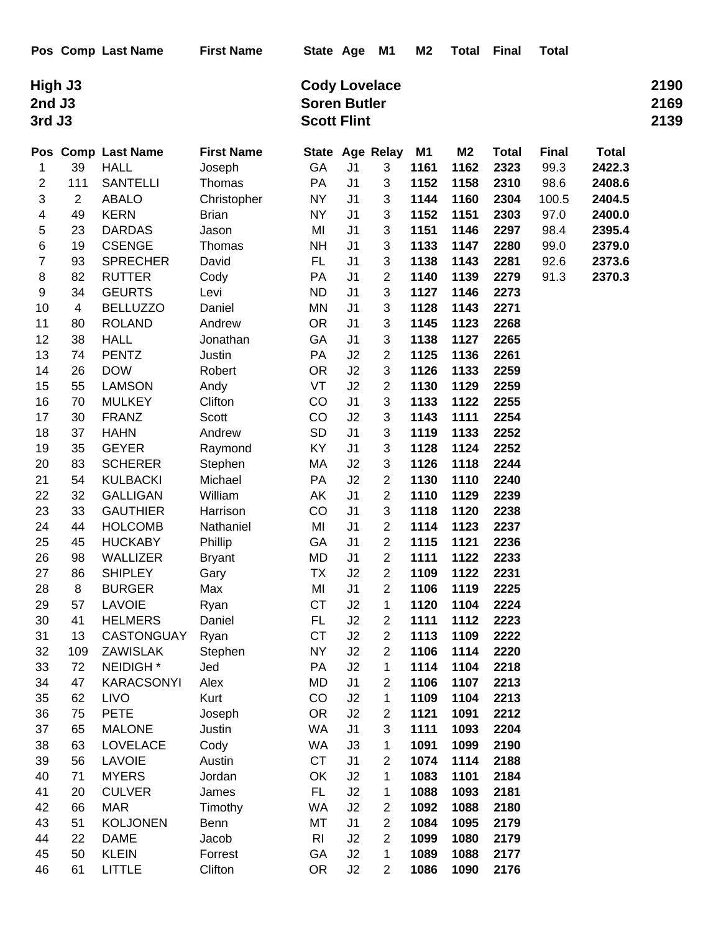|                  | High J3        |                      |                   | <b>Cody Lovelace</b> |                |                 |                |                |              |              |              |      |  |
|------------------|----------------|----------------------|-------------------|----------------------|----------------|-----------------|----------------|----------------|--------------|--------------|--------------|------|--|
|                  | 2nd J3         |                      |                   | <b>Soren Butler</b>  |                |                 |                |                |              |              |              | 2169 |  |
| 3rd J3           |                |                      |                   | <b>Scott Flint</b>   |                |                 |                |                |              |              |              | 2139 |  |
|                  |                | Pos Comp Last Name   | <b>First Name</b> |                      |                | State Age Relay | M <sub>1</sub> | M <sub>2</sub> | <b>Total</b> | <b>Final</b> | <b>Total</b> |      |  |
| 1                | 39             | <b>HALL</b>          | Joseph            | GA                   | J <sub>1</sub> | 3               | 1161           | 1162           | 2323         | 99.3         | 2422.3       |      |  |
| 2                | 111            | <b>SANTELLI</b>      | Thomas            | <b>PA</b>            | J <sub>1</sub> | 3               | 1152           | 1158           | 2310         | 98.6         | 2408.6       |      |  |
| 3                | $\overline{2}$ | <b>ABALO</b>         | Christopher       | <b>NY</b>            | J <sub>1</sub> | 3               | 1144           | 1160           | 2304         | 100.5        | 2404.5       |      |  |
| 4                | 49             | <b>KERN</b>          | <b>Brian</b>      | <b>NY</b>            | J <sub>1</sub> | 3               | 1152           | 1151           | 2303         | 97.0         | 2400.0       |      |  |
| 5                | 23             | <b>DARDAS</b>        | Jason             | MI                   | J <sub>1</sub> | 3               | 1151           | 1146           | 2297         | 98.4         | 2395.4       |      |  |
| 6                | 19             | <b>CSENGE</b>        | Thomas            | <b>NH</b>            | J <sub>1</sub> | 3               | 1133           | 1147           | 2280         | 99.0         | 2379.0       |      |  |
| 7                | 93             | <b>SPRECHER</b>      | David             | FL                   | J <sub>1</sub> | 3               | 1138           | 1143           | 2281         | 92.6         | 2373.6       |      |  |
| 8                | 82             | <b>RUTTER</b>        | Cody              | <b>PA</b>            | J <sub>1</sub> | 2               | 1140           | 1139           | 2279         | 91.3         | 2370.3       |      |  |
| $\boldsymbol{9}$ | 34             | <b>GEURTS</b>        | Levi              | <b>ND</b>            | J <sub>1</sub> | 3               | 1127           | 1146           | 2273         |              |              |      |  |
| 10               | 4              | <b>BELLUZZO</b>      | Daniel            | MN                   | J <sub>1</sub> | 3               | 1128           | 1143           | 2271         |              |              |      |  |
| 11               | 80             | <b>ROLAND</b>        | Andrew            | <b>OR</b>            | J <sub>1</sub> | 3               | 1145           | 1123           | 2268         |              |              |      |  |
| 12               | 38             | <b>HALL</b>          | Jonathan          | GA                   | J <sub>1</sub> | 3               | 1138           | 1127           | 2265         |              |              |      |  |
| 13               | 74             | <b>PENTZ</b>         | Justin            | PA                   | J2             | $\overline{c}$  | 1125           | 1136           | 2261         |              |              |      |  |
| 14               | 26             | <b>DOW</b>           | Robert            | OR.                  | J2             | 3               | 1126           | 1133           | 2259         |              |              |      |  |
| 15               | 55             | <b>LAMSON</b>        | Andy              | VT                   | J2             | $\overline{2}$  | 1130           | 1129           | 2259         |              |              |      |  |
| 16               | 70             | <b>MULKEY</b>        | Clifton           | CO                   | J <sub>1</sub> | 3               | 1133           | 1122           | 2255         |              |              |      |  |
| 17               | 30             | <b>FRANZ</b>         | Scott             | CO                   | J2             | 3               | 1143           | 1111           | 2254         |              |              |      |  |
| 18               | 37             | <b>HAHN</b>          | Andrew            | <b>SD</b>            | J <sub>1</sub> | 3               | 1119           | 1133           | 2252         |              |              |      |  |
| 19               | 35             | <b>GEYER</b>         | Raymond           | KY                   | J <sub>1</sub> | 3               | 1128           | 1124           | 2252         |              |              |      |  |
| 20               | 83             | <b>SCHERER</b>       | Stephen           | МA                   | J2             | 3               | 1126           | 1118           | 2244         |              |              |      |  |
| 21               | 54             | <b>KULBACKI</b>      | Michael           | <b>PA</b>            | J2             | $\overline{c}$  | 1130           | 1110           | 2240         |              |              |      |  |
| 22               | 32             | <b>GALLIGAN</b>      | William           | AK                   | J <sub>1</sub> | $\overline{2}$  | 1110           | 1129           | 2239         |              |              |      |  |
| 23               | 33             | <b>GAUTHIER</b>      | Harrison          | CO                   | J <sub>1</sub> | 3               | 1118           | 1120           | 2238         |              |              |      |  |
| 24               | 44             | <b>HOLCOMB</b>       | Nathaniel         | MI                   | J <sub>1</sub> | $\overline{c}$  | 1114           | 1123           | 2237         |              |              |      |  |
| 25               | 45             | <b>HUCKABY</b>       | Phillip           | GA                   | J <sub>1</sub> | 2               | 1115           | 1121           | 2236         |              |              |      |  |
| 26               | 98             | WALLIZER             | <b>Bryant</b>     | MD                   | J <sub>1</sub> | 2               | 1111           | 1122           | 2233         |              |              |      |  |
| 27               | 86             | <b>SHIPLEY</b>       | Gary              | TX                   | J <sub>2</sub> | 2               | 1109           | 1122           | 2231         |              |              |      |  |
| 28               | 8              | <b>BURGER</b>        | Max               | MI                   | J <sub>1</sub> | $\overline{2}$  | 1106           | 1119           | 2225         |              |              |      |  |
| 29               | 57             | <b>LAVOIE</b>        | Ryan              | <b>CT</b>            | J <sub>2</sub> | 1               | 1120           | 1104           | 2224         |              |              |      |  |
| 30               | 41             | <b>HELMERS</b>       | Daniel            | FL                   | J <sub>2</sub> | 2               | 1111           | 1112           | 2223         |              |              |      |  |
| 31               | 13             | <b>CASTONGUAY</b>    | Ryan              | <b>CT</b>            | J2             | $\overline{c}$  | 1113           | 1109           | 2222         |              |              |      |  |
| 32               | 109            | ZAWISLAK             | Stephen           | <b>NY</b>            | J2             | $\overline{c}$  | 1106           | 1114           | 2220         |              |              |      |  |
| 33               | 72             | NEIDIGH <sup>*</sup> | Jed               | PA                   | J2             | 1               | 1114           | 1104           | 2218         |              |              |      |  |
| 34               | 47             | <b>KARACSONYI</b>    | Alex              | MD                   | J <sub>1</sub> | 2               | 1106           | 1107           | 2213         |              |              |      |  |
| 35               | 62             | <b>LIVO</b>          | Kurt              | CO                   | J2             | 1               | 1109           | 1104           | 2213         |              |              |      |  |
| 36               | 75             | <b>PETE</b>          | Joseph            | <b>OR</b>            | J2             | $\overline{c}$  | 1121           | 1091           | 2212         |              |              |      |  |
| 37               | 65             | <b>MALONE</b>        | Justin            | <b>WA</b>            | J <sub>1</sub> | 3               | 1111           | 1093           | 2204         |              |              |      |  |
| 38               | 63             | <b>LOVELACE</b>      | Cody              | WA                   | J3             | 1               | 1091           | 1099           | 2190         |              |              |      |  |
| 39               | 56             | <b>LAVOIE</b>        | Austin            | <b>CT</b>            | J <sub>1</sub> | 2               | 1074           | 1114           | 2188         |              |              |      |  |
| 40               | 71             | <b>MYERS</b>         | Jordan            | OK                   | J2             | 1               | 1083           | 1101           | 2184         |              |              |      |  |
| 41               | 20             | <b>CULVER</b>        | James             | FL                   | J2             | 1               | 1088           | 1093           | 2181         |              |              |      |  |
| 42               | 66             | <b>MAR</b>           | Timothy           | WA                   | J2             | $\overline{c}$  | 1092           | 1088           | 2180         |              |              |      |  |
| 43               | 51             | <b>KOLJONEN</b>      | Benn              | МT                   | J <sub>1</sub> | $\overline{2}$  | 1084           | 1095           | 2179         |              |              |      |  |
| 44               | 22             | <b>DAME</b>          | Jacob             | R <sub>l</sub>       | J2             | 2               | 1099           | 1080           | 2179         |              |              |      |  |
| 45               | 50             | <b>KLEIN</b>         | Forrest           | GA                   | J2             | 1               | 1089           | 1088           | 2177         |              |              |      |  |
| 46               | 61             | <b>LITTLE</b>        | Clifton           | <b>OR</b>            | J2             | 2               | 1086           | 1090           | 2176         |              |              |      |  |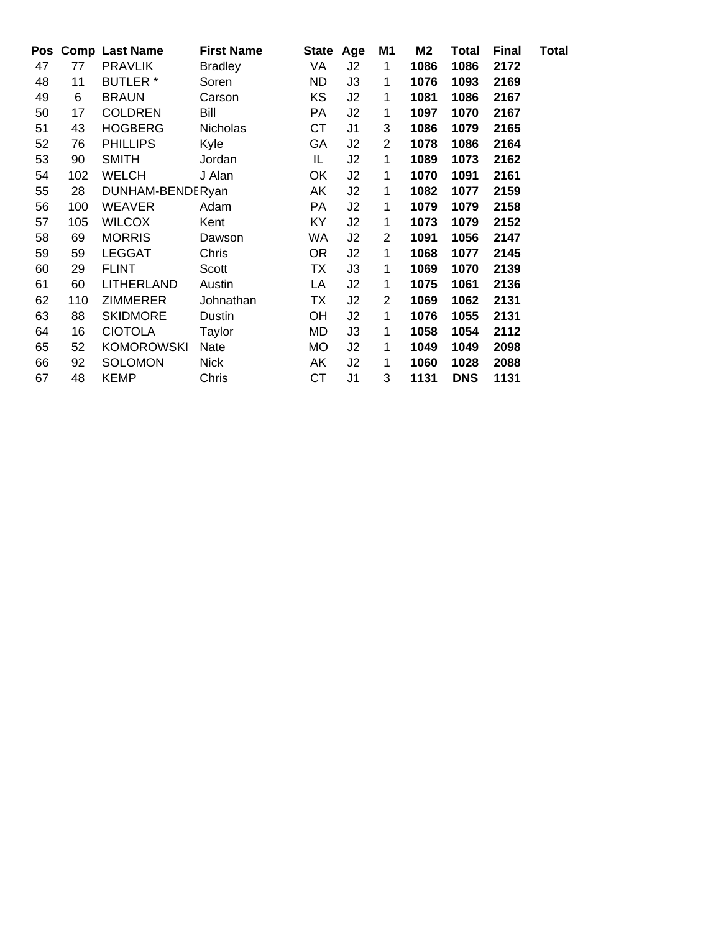|    |     | Pos Comp Last Name | <b>First Name</b> |           | State Age      | M <sub>1</sub> | M2   | Total      | <b>Final</b> | <b>Total</b> |
|----|-----|--------------------|-------------------|-----------|----------------|----------------|------|------------|--------------|--------------|
| 47 | 77  | <b>PRAVLIK</b>     | <b>Bradley</b>    | VA        | J2             | 1              | 1086 | 1086       | 2172         |              |
| 48 | 11  | <b>BUTLER</b> *    | Soren             | <b>ND</b> | J3             | 1              | 1076 | 1093       | 2169         |              |
| 49 | 6   | <b>BRAUN</b>       | Carson            | KS        | J2             | 1              | 1081 | 1086       | 2167         |              |
| 50 | 17  | <b>COLDREN</b>     | Bill              | PA        | J2             | 1              | 1097 | 1070       | 2167         |              |
| 51 | 43  | <b>HOGBERG</b>     | <b>Nicholas</b>   | СT        | J <sub>1</sub> | 3              | 1086 | 1079       | 2165         |              |
| 52 | 76  | <b>PHILLIPS</b>    | Kyle              | GA        | J2             | $\overline{2}$ | 1078 | 1086       | 2164         |              |
| 53 | 90  | <b>SMITH</b>       | Jordan            | IL.       | J2             | 1              | 1089 | 1073       | 2162         |              |
| 54 | 102 | <b>WELCH</b>       | J Alan            | OK        | J2             | 1              | 1070 | 1091       | 2161         |              |
| 55 | 28  | DUNHAM-BENDERyan   |                   | AK        | J2             | 1              | 1082 | 1077       | 2159         |              |
| 56 | 100 | <b>WEAVER</b>      | Adam              | PA        | J2             | 1              | 1079 | 1079       | 2158         |              |
| 57 | 105 | <b>WILCOX</b>      | Kent              | KY        | J2             | 1              | 1073 | 1079       | 2152         |              |
| 58 | 69  | <b>MORRIS</b>      | Dawson            | WA        | J <sub>2</sub> | $\overline{2}$ | 1091 | 1056       | 2147         |              |
| 59 | 59  | <b>LEGGAT</b>      | Chris             | <b>OR</b> | J2             | 1              | 1068 | 1077       | 2145         |              |
| 60 | 29  | <b>FLINT</b>       | Scott             | TX        | J3             | 1              | 1069 | 1070       | 2139         |              |
| 61 | 60  | <b>LITHERLAND</b>  | Austin            | LA        | J2             | 1              | 1075 | 1061       | 2136         |              |
| 62 | 110 | <b>ZIMMERER</b>    | Johnathan         | TX        | J2             | $\overline{2}$ | 1069 | 1062       | 2131         |              |
| 63 | 88  | <b>SKIDMORE</b>    | Dustin            | <b>OH</b> | J <sub>2</sub> | 1              | 1076 | 1055       | 2131         |              |
| 64 | 16  | <b>CIOTOLA</b>     | Taylor            | MD        | J3             | 1              | 1058 | 1054       | 2112         |              |
| 65 | 52  | <b>KOMOROWSKI</b>  | Nate              | <b>MO</b> | J2             | 1              | 1049 | 1049       | 2098         |              |
| 66 | 92  | <b>SOLOMON</b>     | <b>Nick</b>       | AK        | J2             | 1              | 1060 | 1028       | 2088         |              |
| 67 | 48  | <b>KEMP</b>        | Chris             | СT        | J <sub>1</sub> | 3              | 1131 | <b>DNS</b> | 1131         |              |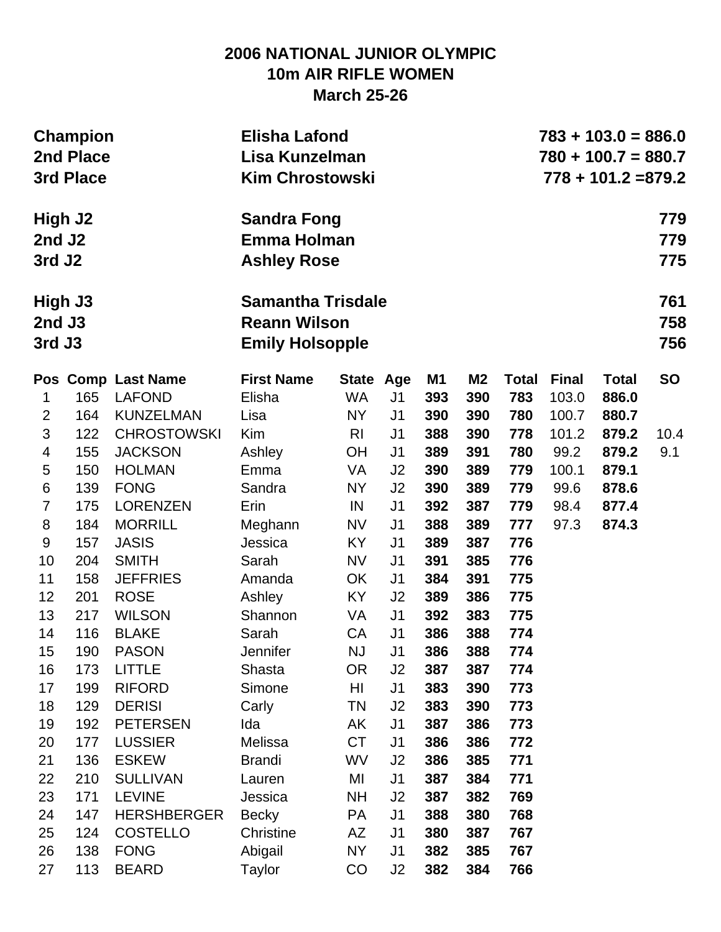# **2006 NATIONAL JUNIOR OLYMPIC 10m AIR RIFLE WOMEN March 25-26**

|                                         | <b>Champion</b><br>2nd Place<br>3rd Place |                    | <b>Elisha Lafond</b><br>Lisa Kunzelman<br><b>Kim Chrostowski</b>          |                | $783 + 103.0 = 886.0$<br>$780 + 100.7 = 880.7$<br>$778 + 101.2 = 879.2$ |     |                |              |              |              |                   |
|-----------------------------------------|-------------------------------------------|--------------------|---------------------------------------------------------------------------|----------------|-------------------------------------------------------------------------|-----|----------------|--------------|--------------|--------------|-------------------|
| High J2<br>2nd J2<br>3rd J <sub>2</sub> |                                           |                    | <b>Sandra Fong</b><br><b>Emma Holman</b><br><b>Ashley Rose</b>            |                |                                                                         |     |                |              |              |              | 779<br>779<br>775 |
| High J3<br>2nd J3<br>3rd J3             |                                           |                    | <b>Samantha Trisdale</b><br><b>Reann Wilson</b><br><b>Emily Holsopple</b> |                |                                                                         |     |                |              |              |              | 761<br>758<br>756 |
|                                         |                                           | Pos Comp Last Name | <b>First Name</b>                                                         | State Age      |                                                                         | M1  | M <sub>2</sub> | <b>Total</b> | <b>Final</b> | <b>Total</b> | <b>SO</b>         |
| 1                                       | 165                                       | <b>LAFOND</b>      | Elisha                                                                    | <b>WA</b>      | J <sub>1</sub>                                                          | 393 | 390            | 783          | 103.0        | 886.0        |                   |
| $\overline{2}$                          | 164                                       | <b>KUNZELMAN</b>   | Lisa                                                                      | <b>NY</b>      | J <sub>1</sub>                                                          | 390 | 390            | 780          | 100.7        | 880.7        |                   |
| $\mathfrak{S}$                          | 122                                       | <b>CHROSTOWSKI</b> | Kim                                                                       | R <sub>l</sub> | J <sub>1</sub>                                                          | 388 | 390            | 778          | 101.2        | 879.2        | 10.4              |
| $\overline{4}$                          | 155                                       | <b>JACKSON</b>     | Ashley                                                                    | <b>OH</b>      | J <sub>1</sub>                                                          | 389 | 391            | 780          | 99.2         | 879.2        | 9.1               |
| $\sqrt{5}$                              | 150                                       | <b>HOLMAN</b>      | Emma                                                                      | <b>VA</b>      | J2                                                                      | 390 | 389            | 779          | 100.1        | 879.1        |                   |
| $\,6$                                   | 139                                       | <b>FONG</b>        | Sandra                                                                    | NY             | J2                                                                      | 390 | 389            | 779          | 99.6         | 878.6        |                   |
| $\overline{7}$                          | 175                                       | <b>LORENZEN</b>    | Erin                                                                      | IN             | J <sub>1</sub>                                                          | 392 | 387            | 779          | 98.4         | 877.4        |                   |
| 8                                       | 184                                       | <b>MORRILL</b>     | Meghann                                                                   | <b>NV</b>      | J <sub>1</sub>                                                          | 388 | 389            | 777          | 97.3         | 874.3        |                   |
| $\boldsymbol{9}$                        | 157                                       | <b>JASIS</b>       | Jessica                                                                   | <b>KY</b>      | J <sub>1</sub>                                                          | 389 | 387            | 776          |              |              |                   |
| 10                                      | 204                                       | <b>SMITH</b>       | Sarah                                                                     | <b>NV</b>      | J <sub>1</sub>                                                          | 391 | 385            | 776          |              |              |                   |
| 11                                      | 158                                       | <b>JEFFRIES</b>    | Amanda                                                                    | <b>OK</b>      | J <sub>1</sub>                                                          | 384 | 391            | 775          |              |              |                   |
| 12                                      | 201                                       | <b>ROSE</b>        | Ashley                                                                    | <b>KY</b>      | J2                                                                      | 389 | 386            | 775          |              |              |                   |
| 13                                      | 217                                       | <b>WILSON</b>      | Shannon                                                                   | VA             | J <sub>1</sub>                                                          | 392 | 383            | 775          |              |              |                   |
| 14                                      | 116                                       | <b>BLAKE</b>       | Sarah                                                                     | CA             | J <sub>1</sub>                                                          | 386 | 388            | 774          |              |              |                   |
| 15                                      | 190                                       | <b>PASON</b>       | <b>Jennifer</b>                                                           | <b>NJ</b>      | J <sub>1</sub>                                                          | 386 | 388            | 774          |              |              |                   |
| 16                                      | 173                                       | <b>LITTLE</b>      | Shasta                                                                    | <b>OR</b>      | J2                                                                      | 387 | 387            | 774          |              |              |                   |
| 17                                      | 199                                       | <b>RIFORD</b>      | Simone                                                                    | HI             | J <sub>1</sub>                                                          | 383 | 390            | 773          |              |              |                   |
| 18                                      | 129                                       | <b>DERISI</b>      | Carly                                                                     | <b>TN</b>      | J <sub>2</sub>                                                          | 383 | 390            | 773          |              |              |                   |
| 19                                      | 192                                       | <b>PETERSEN</b>    | Ida                                                                       | AK             | J <sub>1</sub>                                                          | 387 | 386            | 773          |              |              |                   |
| 20                                      | 177                                       | <b>LUSSIER</b>     | Melissa                                                                   | <b>CT</b>      | J <sub>1</sub>                                                          | 386 | 386            | 772          |              |              |                   |
| 21                                      | 136                                       | <b>ESKEW</b>       | <b>Brandi</b>                                                             | <b>WV</b>      | J <sub>2</sub>                                                          | 386 | 385            | 771          |              |              |                   |
| 22                                      | 210                                       | <b>SULLIVAN</b>    | Lauren                                                                    | MI             | J1                                                                      | 387 | 384            | 771          |              |              |                   |
| 23                                      | 171                                       | <b>LEVINE</b>      | Jessica                                                                   | <b>NH</b>      | J2                                                                      | 387 | 382            | 769          |              |              |                   |
| 24                                      | 147                                       | <b>HERSHBERGER</b> | <b>Becky</b>                                                              | <b>PA</b>      | J <sub>1</sub>                                                          | 388 | 380            | 768          |              |              |                   |
| 25                                      | 124                                       | <b>COSTELLO</b>    | Christine                                                                 | AZ             | J <sub>1</sub>                                                          | 380 | 387            | 767          |              |              |                   |
| 26                                      | 138                                       | <b>FONG</b>        | Abigail                                                                   | <b>NY</b>      | J <sub>1</sub>                                                          | 382 | 385            | 767          |              |              |                   |
| 27                                      | 113                                       | <b>BEARD</b>       | Taylor                                                                    | CO             | J2                                                                      | 382 | 384            | 766          |              |              |                   |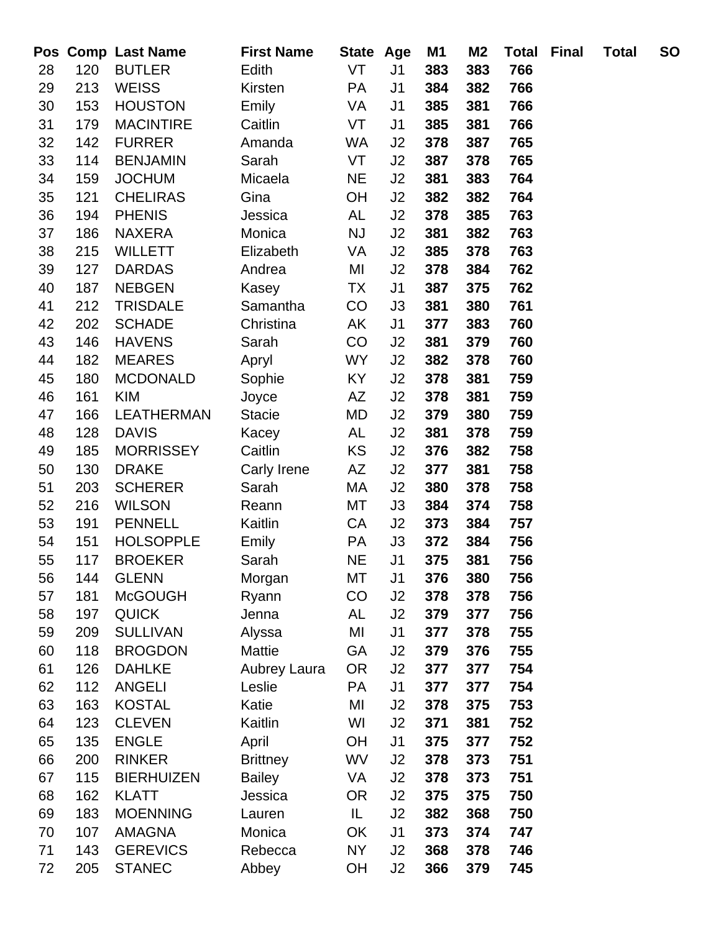|    |     | Pos Comp Last Name | <b>First Name</b> | State Age |                | M1  | M <sub>2</sub> | <b>Total</b> | <b>Final</b> | <b>Total</b> | <b>SO</b> |
|----|-----|--------------------|-------------------|-----------|----------------|-----|----------------|--------------|--------------|--------------|-----------|
| 28 | 120 | <b>BUTLER</b>      | Edith             | VT        | J <sub>1</sub> | 383 | 383            | 766          |              |              |           |
| 29 | 213 | <b>WEISS</b>       | Kirsten           | <b>PA</b> | J <sub>1</sub> | 384 | 382            | 766          |              |              |           |
| 30 | 153 | <b>HOUSTON</b>     | Emily             | VA        | J <sub>1</sub> | 385 | 381            | 766          |              |              |           |
| 31 | 179 | <b>MACINTIRE</b>   | Caitlin           | VT        | J1             | 385 | 381            | 766          |              |              |           |
| 32 | 142 | <b>FURRER</b>      | Amanda            | WA        | J2             | 378 | 387            | 765          |              |              |           |
| 33 | 114 | <b>BENJAMIN</b>    | Sarah             | VT        | J2             | 387 | 378            | 765          |              |              |           |
| 34 | 159 | <b>JOCHUM</b>      | Micaela           | <b>NE</b> | J2             | 381 | 383            | 764          |              |              |           |
| 35 | 121 | <b>CHELIRAS</b>    | Gina              | OH        | J2             | 382 | 382            | 764          |              |              |           |
| 36 | 194 | <b>PHENIS</b>      | Jessica           | AL        | J2             | 378 | 385            | 763          |              |              |           |
| 37 | 186 | <b>NAXERA</b>      | Monica            | <b>NJ</b> | J2             | 381 | 382            | 763          |              |              |           |
| 38 | 215 | <b>WILLETT</b>     | Elizabeth         | VA        | J2             | 385 | 378            | 763          |              |              |           |
| 39 | 127 | <b>DARDAS</b>      | Andrea            | MI        | J2             | 378 | 384            | 762          |              |              |           |
| 40 | 187 | <b>NEBGEN</b>      | Kasey             | <b>TX</b> | J <sub>1</sub> | 387 | 375            | 762          |              |              |           |
| 41 | 212 | <b>TRISDALE</b>    | Samantha          | CO        | J3             | 381 | 380            | 761          |              |              |           |
| 42 | 202 | <b>SCHADE</b>      | Christina         | AK        | J <sub>1</sub> | 377 | 383            | 760          |              |              |           |
| 43 | 146 | <b>HAVENS</b>      | Sarah             | CO        | J2             | 381 | 379            | 760          |              |              |           |
| 44 | 182 | <b>MEARES</b>      | Apryl             | <b>WY</b> | J2             | 382 | 378            | 760          |              |              |           |
| 45 | 180 | <b>MCDONALD</b>    | Sophie            | KY        | J2             | 378 | 381            | 759          |              |              |           |
| 46 | 161 | <b>KIM</b>         | Joyce             | <b>AZ</b> | J2             | 378 | 381            | 759          |              |              |           |
| 47 | 166 | <b>LEATHERMAN</b>  | <b>Stacie</b>     | <b>MD</b> | J2             | 379 | 380            | 759          |              |              |           |
| 48 | 128 | <b>DAVIS</b>       | Kacey             | AL        | J2             | 381 | 378            | 759          |              |              |           |
| 49 | 185 | <b>MORRISSEY</b>   | Caitlin           | <b>KS</b> | J2             | 376 | 382            | 758          |              |              |           |
| 50 | 130 | <b>DRAKE</b>       | Carly Irene       | AZ        | J2             | 377 | 381            | 758          |              |              |           |
| 51 | 203 | <b>SCHERER</b>     | Sarah             | МA        | J2             | 380 | 378            | 758          |              |              |           |
| 52 | 216 | <b>WILSON</b>      | Reann             | MT        | J3             | 384 | 374            | 758          |              |              |           |
| 53 | 191 | <b>PENNELL</b>     | Kaitlin           | CA        | J2             | 373 | 384            | 757          |              |              |           |
| 54 | 151 | <b>HOLSOPPLE</b>   | Emily             | PA        | J3             | 372 | 384            | 756          |              |              |           |
| 55 | 117 | <b>BROEKER</b>     | Sarah             | <b>NE</b> | J <sub>1</sub> | 375 | 381            | 756          |              |              |           |
| 56 | 144 | <b>GLENN</b>       | Morgan            | МT        | J <sub>1</sub> | 376 | 380            | 756          |              |              |           |
| 57 | 181 | <b>McGOUGH</b>     | Ryann             | CO        | J2             | 378 | 378            | 756          |              |              |           |
| 58 | 197 | <b>QUICK</b>       | Jenna             | AL        | J2             | 379 | 377            | 756          |              |              |           |
| 59 | 209 | <b>SULLIVAN</b>    | Alyssa            | MI        | J <sub>1</sub> | 377 | 378            | 755          |              |              |           |
| 60 | 118 | <b>BROGDON</b>     | Mattie            | <b>GA</b> | J2             | 379 | 376            | 755          |              |              |           |
| 61 | 126 | <b>DAHLKE</b>      | Aubrey Laura      | <b>OR</b> | J2             | 377 | 377            | 754          |              |              |           |
| 62 | 112 | <b>ANGELI</b>      | Leslie            | PA        | J <sub>1</sub> | 377 | 377            | 754          |              |              |           |
| 63 | 163 | <b>KOSTAL</b>      | Katie             | MI        | J2             | 378 | 375            | 753          |              |              |           |
| 64 | 123 | <b>CLEVEN</b>      | Kaitlin           | WI        | J2             | 371 | 381            | 752          |              |              |           |
| 65 | 135 | <b>ENGLE</b>       | April             | <b>OH</b> | J <sub>1</sub> | 375 | 377            | 752          |              |              |           |
| 66 | 200 | <b>RINKER</b>      | <b>Brittney</b>   | WV        | J2             | 378 | 373            | 751          |              |              |           |
| 67 | 115 | <b>BIERHUIZEN</b>  | <b>Bailey</b>     | VA        | J2             | 378 | 373            | 751          |              |              |           |
| 68 | 162 | <b>KLATT</b>       | Jessica           | <b>OR</b> | J2             | 375 | 375            | 750          |              |              |           |
| 69 | 183 | <b>MOENNING</b>    | Lauren            | IL        | J2             | 382 | 368            | 750          |              |              |           |
| 70 | 107 | <b>AMAGNA</b>      | Monica            | OK        | J <sub>1</sub> | 373 | 374            | 747          |              |              |           |
| 71 | 143 | <b>GEREVICS</b>    | Rebecca           | <b>NY</b> | J2             | 368 | 378            | 746          |              |              |           |
| 72 | 205 | <b>STANEC</b>      | Abbey             | OH        | J2             | 366 | 379            | 745          |              |              |           |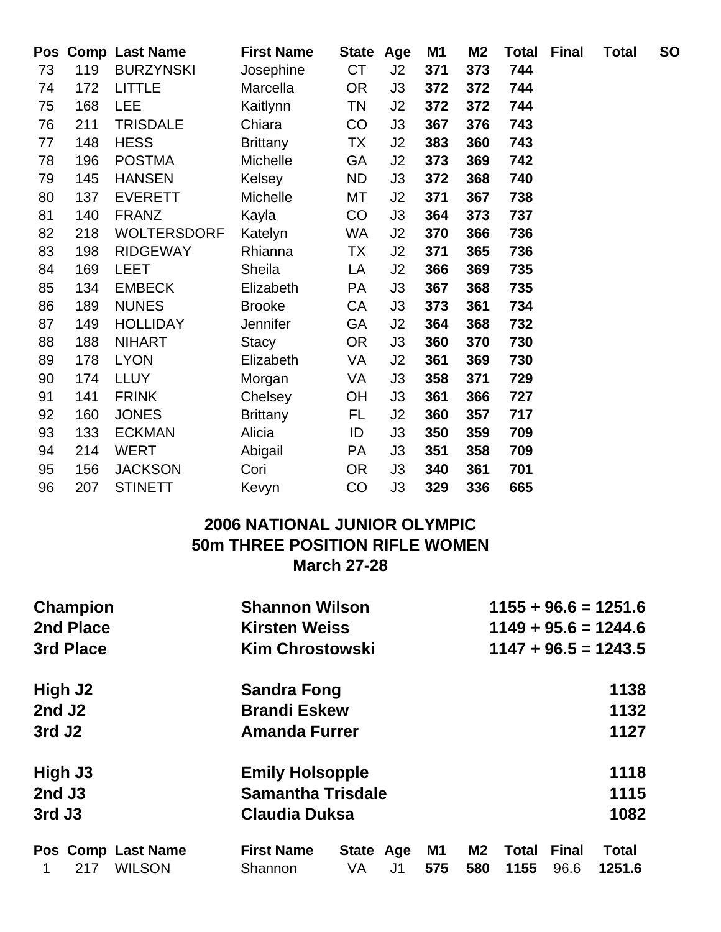|    |     | Pos Comp Last Name | <b>First Name</b> | State Age |    | M1  | M2  | <b>Total</b> | Final | <b>Total</b> | <b>SO</b> |
|----|-----|--------------------|-------------------|-----------|----|-----|-----|--------------|-------|--------------|-----------|
| 73 | 119 | <b>BURZYNSKI</b>   | Josephine         | <b>CT</b> | J2 | 371 | 373 | 744          |       |              |           |
| 74 | 172 | <b>LITTLE</b>      | Marcella          | <b>OR</b> | J3 | 372 | 372 | 744          |       |              |           |
| 75 | 168 | <b>LEE</b>         | Kaitlynn          | <b>TN</b> | J2 | 372 | 372 | 744          |       |              |           |
| 76 | 211 | <b>TRISDALE</b>    | Chiara            | CO        | J3 | 367 | 376 | 743          |       |              |           |
| 77 | 148 | <b>HESS</b>        | <b>Brittany</b>   | TX.       | J2 | 383 | 360 | 743          |       |              |           |
| 78 | 196 | <b>POSTMA</b>      | <b>Michelle</b>   | <b>GA</b> | J2 | 373 | 369 | 742          |       |              |           |
| 79 | 145 | <b>HANSEN</b>      | Kelsey            | <b>ND</b> | J3 | 372 | 368 | 740          |       |              |           |
| 80 | 137 | <b>EVERETT</b>     | <b>Michelle</b>   | MT        | J2 | 371 | 367 | 738          |       |              |           |
| 81 | 140 | <b>FRANZ</b>       | Kayla             | CO        | J3 | 364 | 373 | 737          |       |              |           |
| 82 | 218 | <b>WOLTERSDORF</b> | Katelyn           | WA        | J2 | 370 | 366 | 736          |       |              |           |
| 83 | 198 | <b>RIDGEWAY</b>    | Rhianna           | TX        | J2 | 371 | 365 | 736          |       |              |           |
| 84 | 169 | <b>LEET</b>        | Sheila            | LA        | J2 | 366 | 369 | 735          |       |              |           |
| 85 | 134 | <b>EMBECK</b>      | Elizabeth         | PA        | J3 | 367 | 368 | 735          |       |              |           |
| 86 | 189 | <b>NUNES</b>       | <b>Brooke</b>     | CA        | J3 | 373 | 361 | 734          |       |              |           |
| 87 | 149 | <b>HOLLIDAY</b>    | Jennifer          | GA        | J2 | 364 | 368 | 732          |       |              |           |
| 88 | 188 | <b>NIHART</b>      | Stacy             | <b>OR</b> | J3 | 360 | 370 | 730          |       |              |           |
| 89 | 178 | <b>LYON</b>        | Elizabeth         | VA        | J2 | 361 | 369 | 730          |       |              |           |
| 90 | 174 | <b>LLUY</b>        | Morgan            | VA        | J3 | 358 | 371 | 729          |       |              |           |
| 91 | 141 | <b>FRINK</b>       | Chelsey           | <b>OH</b> | J3 | 361 | 366 | 727          |       |              |           |
| 92 | 160 | <b>JONES</b>       | <b>Brittany</b>   | FL.       | J2 | 360 | 357 | 717          |       |              |           |
| 93 | 133 | <b>ECKMAN</b>      | Alicia            | ID        | J3 | 350 | 359 | 709          |       |              |           |
| 94 | 214 | <b>WERT</b>        | Abigail           | PA        | J3 | 351 | 358 | 709          |       |              |           |
| 95 | 156 | <b>JACKSON</b>     | Cori              | <b>OR</b> | J3 | 340 | 361 | 701          |       |              |           |
| 96 | 207 | <b>STINETT</b>     | Kevyn             | CO        | J3 | 329 | 336 | 665          |       |              |           |

# **2006 NATIONAL JUNIOR OLYMPIC 50m THREE POSITION RIFLE WOMEN March 27-28**

| <b>Champion</b>      | <b>Shannon Wilson</b>                  | $1155 + 96.6 = 1251.6$                                               |
|----------------------|----------------------------------------|----------------------------------------------------------------------|
| 2nd Place            | <b>Kirsten Weiss</b>                   | $1149 + 95.6 = 1244.6$                                               |
| 3rd Place            | <b>Kim Chrostowski</b>                 | $1147 + 96.5 = 1243.5$                                               |
| High J2              | <b>Sandra Fong</b>                     | 1138                                                                 |
| 2nd J <sub>2</sub>   | <b>Brandi Eskew</b>                    | 1132                                                                 |
| 3rd J <sub>2</sub>   | <b>Amanda Furrer</b>                   | 1127                                                                 |
| High J3              | <b>Emily Holsopple</b>                 | 1118                                                                 |
| $2nd$ J3             | <b>Samantha Trisdale</b>               | 1115                                                                 |
| 3rd J3               | <b>Claudia Duksa</b>                   | 1082                                                                 |
| Pos Comp Last Name   | <b>First Name</b><br>State Age         | <b>Final</b><br><b>M1</b><br>M <sub>2</sub><br><b>Total</b><br>Total |
| <b>WILSON</b><br>217 | <b>VA</b><br>J <sub>1</sub><br>Shannon | 575<br>580<br>1155<br>96.6<br>1251.6                                 |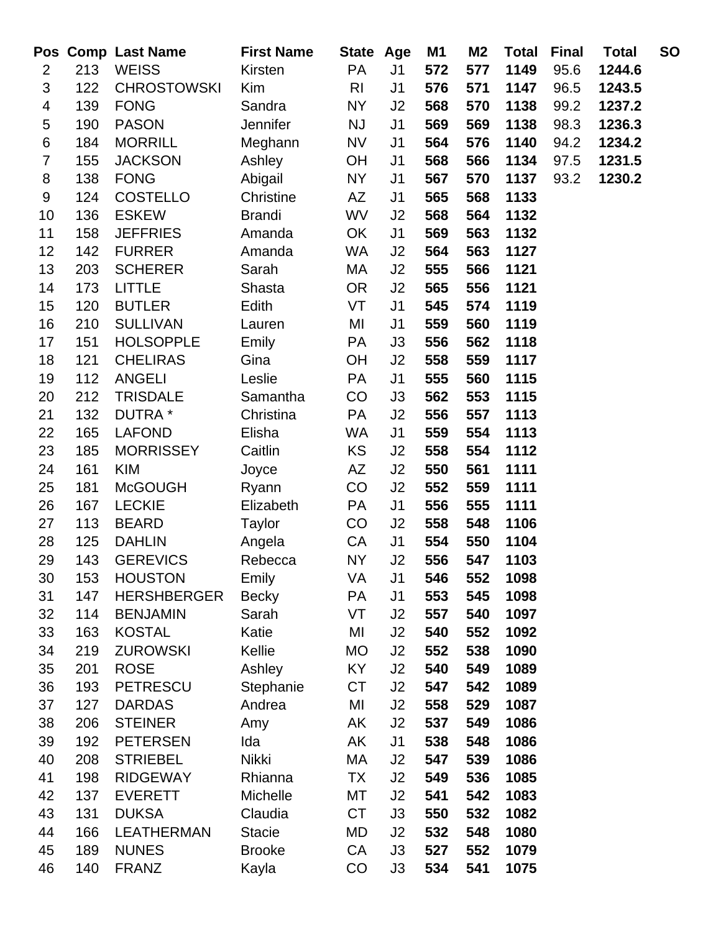|                         |     | Pos Comp Last Name | <b>First Name</b> | State Age      |                | M1  | M <sub>2</sub> | <b>Total</b> | <b>Final</b> | <b>Total</b> | <b>SO</b> |
|-------------------------|-----|--------------------|-------------------|----------------|----------------|-----|----------------|--------------|--------------|--------------|-----------|
| $\overline{2}$          | 213 | <b>WEISS</b>       | Kirsten           | PA             | J <sub>1</sub> | 572 | 577            | 1149         | 95.6         | 1244.6       |           |
| 3                       | 122 | <b>CHROSTOWSKI</b> | Kim               | R <sub>l</sub> | J <sub>1</sub> | 576 | 571            | 1147         | 96.5         | 1243.5       |           |
| $\overline{\mathbf{4}}$ | 139 | <b>FONG</b>        | Sandra            | <b>NY</b>      | J2             | 568 | 570            | 1138         | 99.2         | 1237.2       |           |
| 5                       | 190 | <b>PASON</b>       | Jennifer          | <b>NJ</b>      | J <sub>1</sub> | 569 | 569            | 1138         | 98.3         | 1236.3       |           |
| $\,6$                   | 184 | <b>MORRILL</b>     | Meghann           | <b>NV</b>      | J <sub>1</sub> | 564 | 576            | 1140         | 94.2         | 1234.2       |           |
| $\overline{7}$          | 155 | <b>JACKSON</b>     | Ashley            | OH             | J <sub>1</sub> | 568 | 566            | 1134         | 97.5         | 1231.5       |           |
| 8                       | 138 | <b>FONG</b>        | Abigail           | <b>NY</b>      | J1             | 567 | 570            | 1137         | 93.2         | 1230.2       |           |
| $\boldsymbol{9}$        | 124 | <b>COSTELLO</b>    | Christine         | AZ             | J <sub>1</sub> | 565 | 568            | 1133         |              |              |           |
| 10                      | 136 | <b>ESKEW</b>       | <b>Brandi</b>     | WV             | J2             | 568 | 564            | 1132         |              |              |           |
| 11                      | 158 | <b>JEFFRIES</b>    | Amanda            | OK             | J <sub>1</sub> | 569 | 563            | 1132         |              |              |           |
| 12                      | 142 | <b>FURRER</b>      | Amanda            | <b>WA</b>      | J2             | 564 | 563            | 1127         |              |              |           |
| 13                      | 203 | <b>SCHERER</b>     | Sarah             | МA             | J2             | 555 | 566            | 1121         |              |              |           |
| 14                      | 173 | <b>LITTLE</b>      | Shasta            | <b>OR</b>      | J2             | 565 | 556            | 1121         |              |              |           |
| 15                      | 120 | <b>BUTLER</b>      | Edith             | VT             | J <sub>1</sub> | 545 | 574            | 1119         |              |              |           |
| 16                      | 210 | <b>SULLIVAN</b>    | Lauren            | MI             | J <sub>1</sub> | 559 | 560            | 1119         |              |              |           |
| 17                      | 151 | <b>HOLSOPPLE</b>   | Emily             | <b>PA</b>      | J3             | 556 | 562            | 1118         |              |              |           |
| 18                      | 121 | <b>CHELIRAS</b>    | Gina              | OH             | J2             | 558 | 559            | 1117         |              |              |           |
| 19                      | 112 | <b>ANGELI</b>      | Leslie            | <b>PA</b>      | J <sub>1</sub> | 555 | 560            | 1115         |              |              |           |
| 20                      | 212 | <b>TRISDALE</b>    | Samantha          | CO             | J3             | 562 | 553            | 1115         |              |              |           |
| 21                      | 132 | DUTRA *            | Christina         | <b>PA</b>      | J2             | 556 | 557            | 1113         |              |              |           |
| 22                      | 165 | <b>LAFOND</b>      | Elisha            | WA             | J <sub>1</sub> | 559 | 554            | 1113         |              |              |           |
| 23                      | 185 | <b>MORRISSEY</b>   | Caitlin           | KS             | J2             | 558 | 554            | 1112         |              |              |           |
| 24                      | 161 | <b>KIM</b>         | Joyce             | AZ             | J2             | 550 | 561            | 1111         |              |              |           |
| 25                      | 181 | <b>McGOUGH</b>     | Ryann             | CO             | J2             | 552 | 559            | 1111         |              |              |           |
| 26                      | 167 | <b>LECKIE</b>      | Elizabeth         | <b>PA</b>      | J <sub>1</sub> | 556 | 555            | 1111         |              |              |           |
| 27                      | 113 | <b>BEARD</b>       | Taylor            | CO             | J2             | 558 | 548            | 1106         |              |              |           |
| 28                      | 125 | <b>DAHLIN</b>      | Angela            | CA             | J <sub>1</sub> | 554 | 550            | 1104         |              |              |           |
| 29                      | 143 | <b>GEREVICS</b>    | Rebecca           | <b>NY</b>      | J2             | 556 | 547            | 1103         |              |              |           |
| 30                      | 153 | <b>HOUSTON</b>     | Emily             | VA             | J <sub>1</sub> | 546 | 552            | 1098         |              |              |           |
| 31                      | 147 | <b>HERSHBERGER</b> | <b>Becky</b>      | <b>PA</b>      | J <sub>1</sub> | 553 | 545            | 1098         |              |              |           |
| 32                      | 114 | <b>BENJAMIN</b>    | Sarah             | VT             | J2             | 557 | 540            | 1097         |              |              |           |
| 33                      | 163 | <b>KOSTAL</b>      | Katie             | MI             | J2             | 540 | 552            | 1092         |              |              |           |
| 34                      | 219 | <b>ZUROWSKI</b>    | Kellie            | MO             | J2             | 552 | 538            | 1090         |              |              |           |
| 35                      | 201 | <b>ROSE</b>        | Ashley            | KY.            | J2             | 540 | 549            | 1089         |              |              |           |
| 36                      | 193 | <b>PETRESCU</b>    | Stephanie         | <b>CT</b>      | J2             | 547 | 542            | 1089         |              |              |           |
| 37                      | 127 | <b>DARDAS</b>      | Andrea            | MI             | J2             | 558 | 529            | 1087         |              |              |           |
| 38                      | 206 | <b>STEINER</b>     | Amy               | AK             | J2             | 537 | 549            | 1086         |              |              |           |
| 39                      | 192 | <b>PETERSEN</b>    | Ida               | AK             | J <sub>1</sub> | 538 | 548            | 1086         |              |              |           |
| 40                      | 208 | <b>STRIEBEL</b>    | Nikki             | МA             | J2             | 547 | 539            | 1086         |              |              |           |
| 41                      | 198 | <b>RIDGEWAY</b>    | Rhianna           | <b>TX</b>      | J2             | 549 | 536            | 1085         |              |              |           |
| 42                      | 137 | <b>EVERETT</b>     | Michelle          | МT             | J2             | 541 | 542            | 1083         |              |              |           |
| 43                      | 131 | <b>DUKSA</b>       | Claudia           | <b>CT</b>      | J3             | 550 | 532            | 1082         |              |              |           |
| 44                      | 166 | <b>LEATHERMAN</b>  | <b>Stacie</b>     | MD             | J2             | 532 | 548            | 1080         |              |              |           |
| 45                      | 189 | <b>NUNES</b>       | <b>Brooke</b>     | CA             | J3             | 527 | 552            | 1079         |              |              |           |
| 46                      | 140 | <b>FRANZ</b>       | Kayla             | CO             | J3             | 534 | 541            | 1075         |              |              |           |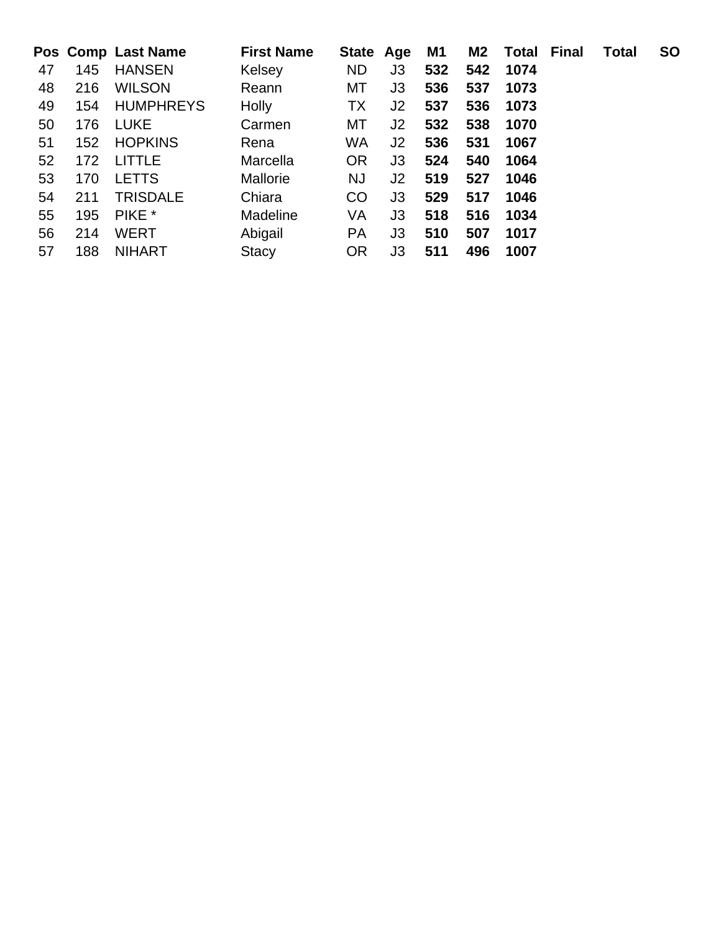|    |     | Pos Comp Last Name | <b>First Name</b> | State Age |                | M1  | M2  | <b>Total Final</b> | <b>Total</b> | <b>SO</b> |
|----|-----|--------------------|-------------------|-----------|----------------|-----|-----|--------------------|--------------|-----------|
| 47 | 145 | <b>HANSEN</b>      | Kelsey            | <b>ND</b> | J3             | 532 | 542 | 1074               |              |           |
| 48 | 216 | <b>WILSON</b>      | Reann             | МT        | J3             | 536 | 537 | 1073               |              |           |
| 49 | 154 | <b>HUMPHREYS</b>   | Holly             | <b>TX</b> | J2             | 537 | 536 | 1073               |              |           |
| 50 | 176 | <b>LUKE</b>        | Carmen            | МT        | J2             | 532 | 538 | 1070               |              |           |
| 51 | 152 | <b>HOPKINS</b>     | Rena              | WA        | J <sub>2</sub> | 536 | 531 | 1067               |              |           |
| 52 | 172 | <b>LITTLE</b>      | Marcella          | <b>OR</b> | J3             | 524 | 540 | 1064               |              |           |
| 53 | 170 | <b>LETTS</b>       | Mallorie          | NJ        | J2             | 519 | 527 | 1046               |              |           |
| 54 | 211 | <b>TRISDALE</b>    | Chiara            | CO        | J3             | 529 | 517 | 1046               |              |           |
| 55 | 195 | PIKE *             | Madeline          | VA        | J3             | 518 | 516 | 1034               |              |           |
| 56 | 214 | <b>WERT</b>        | Abigail           | <b>PA</b> | J3             | 510 | 507 | 1017               |              |           |
| 57 | 188 | <b>NIHART</b>      | Stacy             | <b>OR</b> | JЗ             | 511 | 496 | 1007               |              |           |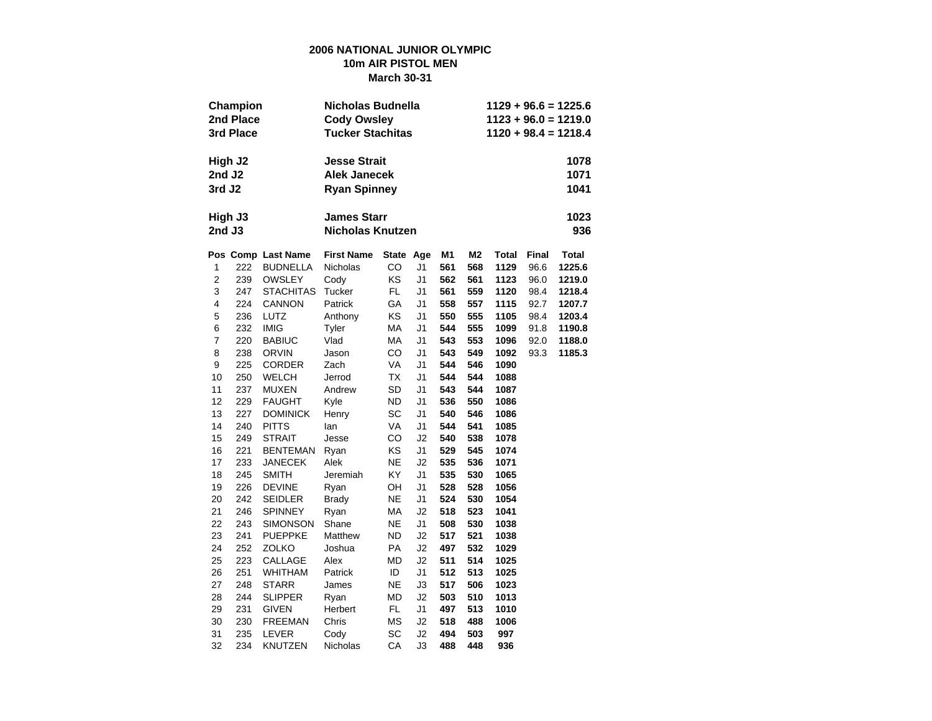#### **2006 NATIONAL JUNIOR OLYMPIC 10m AIR PISTOL MEN March 30-31**

|                  | Champion<br>2nd Place<br>3rd Place |                    | Nicholas Budnella<br><b>Cody Owsley</b><br><b>Tucker Stachitas</b> |           |                | $1129 + 96.6 = 1225.6$<br>$1123 + 96.0 = 1219.0$<br>$1120 + 98.4 = 1218.4$ |                |       |       |              |  |  |  |  |
|------------------|------------------------------------|--------------------|--------------------------------------------------------------------|-----------|----------------|----------------------------------------------------------------------------|----------------|-------|-------|--------------|--|--|--|--|
|                  | High J2                            |                    | <b>Jesse Strait</b>                                                |           |                |                                                                            |                |       |       | 1078         |  |  |  |  |
| 2nd J2           |                                    |                    | <b>Alek Janecek</b>                                                |           |                |                                                                            |                |       |       | 1071         |  |  |  |  |
| 3rd J2           |                                    |                    | <b>Ryan Spinney</b>                                                |           |                |                                                                            |                | 1041  |       |              |  |  |  |  |
| 2nd J3           | High J3                            |                    | <b>James Starr</b><br><b>Nicholas Knutzen</b>                      |           |                |                                                                            |                |       |       | 1023<br>936  |  |  |  |  |
|                  |                                    | Pos Comp Last Name | <b>First Name</b>                                                  | State Age |                | M1                                                                         | M <sub>2</sub> | Total | Final | <b>Total</b> |  |  |  |  |
| 1                | 222                                | <b>BUDNELLA</b>    | Nicholas                                                           | CO        | J1             | 561                                                                        | 568            | 1129  | 96.6  | 1225.6       |  |  |  |  |
| $\overline{c}$   | 239                                | <b>OWSLEY</b>      | Cody                                                               | KS        | J1             | 562                                                                        | 561            | 1123  | 96.0  | 1219.0       |  |  |  |  |
| 3                | 247                                | <b>STACHITAS</b>   | Tucker                                                             | FL.       | J1             | 561                                                                        | 559            | 1120  | 98.4  | 1218.4       |  |  |  |  |
| 4                | 224                                | <b>CANNON</b>      | Patrick                                                            | GА        | J1             | 558                                                                        | 557            | 1115  | 92.7  | 1207.7       |  |  |  |  |
| 5                | 236                                | LUTZ               | Anthony                                                            | KS        | J1             | 550                                                                        | 555            | 1105  | 98.4  | 1203.4       |  |  |  |  |
| 6                | 232                                | <b>IMIG</b>        | Tyler                                                              | МA        | J1             | 544                                                                        | 555            | 1099  | 91.8  | 1190.8       |  |  |  |  |
| $\boldsymbol{7}$ | 220                                | <b>BABIUC</b>      | Vlad                                                               | МA        | J1             | 543                                                                        | 553            | 1096  | 92.0  | 1188.0       |  |  |  |  |
| 8                | 238                                | <b>ORVIN</b>       | Jason                                                              | CO        | J1             | 543                                                                        | 549            | 1092  | 93.3  | 1185.3       |  |  |  |  |
| 9                | 225                                | CORDER             | Zach                                                               | VA        | J1             | 544                                                                        | 546            | 1090  |       |              |  |  |  |  |
| 10               | 250                                | <b>WELCH</b>       | Jerrod                                                             | TX        | J1             | 544                                                                        | 544            | 1088  |       |              |  |  |  |  |
| 11               | 237                                | MUXEN              | Andrew                                                             | <b>SD</b> | J1             | 543                                                                        | 544            | 1087  |       |              |  |  |  |  |
| 12               | 229                                | <b>FAUGHT</b>      | Kyle                                                               | ND        | J1             | 536                                                                        | 550            | 1086  |       |              |  |  |  |  |
| 13               | 227                                | <b>DOMINICK</b>    | Henry                                                              | SC        | J1             | 540                                                                        | 546            | 1086  |       |              |  |  |  |  |
| 14               | 240                                | <b>PITTS</b>       | lan                                                                | VA        | J1             | 544                                                                        | 541            | 1085  |       |              |  |  |  |  |
| 15               | 249                                | <b>STRAIT</b>      | Jesse                                                              | CO        | J2             | 540                                                                        | 538            | 1078  |       |              |  |  |  |  |
| 16               | 221                                | <b>BENTEMAN</b>    | Ryan                                                               | KS        | J1             | 529                                                                        | 545            | 1074  |       |              |  |  |  |  |
| 17               | 233                                | JANECEK            | Alek                                                               | NE        | J2             | 535                                                                        | 536            | 1071  |       |              |  |  |  |  |
| 18               | 245                                | <b>SMITH</b>       | Jeremiah                                                           | KY        | J1             | 535                                                                        | 530            | 1065  |       |              |  |  |  |  |
| 19               | 226                                | <b>DEVINE</b>      | Ryan                                                               | OН        | J1             | 528                                                                        | 528            | 1056  |       |              |  |  |  |  |
| 20               | 242                                | <b>SEIDLER</b>     | <b>Brady</b>                                                       | NE        | J1             | 524                                                                        | 530            | 1054  |       |              |  |  |  |  |
| 21               | 246                                | <b>SPINNEY</b>     | Ryan                                                               | МA        | J <sub>2</sub> | 518                                                                        | 523            | 1041  |       |              |  |  |  |  |
| 22               | 243                                | SIMONSON           | Shane                                                              | NE        | J1             | 508                                                                        | 530            | 1038  |       |              |  |  |  |  |
| 23               | 241                                | <b>PUEPPKE</b>     | Matthew                                                            | ND        | J2             | 517                                                                        | 521            | 1038  |       |              |  |  |  |  |
| 24               | 252                                | ZOLKO              | Joshua                                                             | PA        | J2             | 497                                                                        | 532            | 1029  |       |              |  |  |  |  |
| 25               | 223                                | CALLAGE            | Alex                                                               | MD        | J2             | 511                                                                        | 514            | 1025  |       |              |  |  |  |  |
| 26               | 251                                | <b>WHITHAM</b>     | Patrick                                                            | ID        | J1             | 512                                                                        | 513            | 1025  |       |              |  |  |  |  |
| 27               | 248                                | <b>STARR</b>       | James                                                              | <b>NE</b> | JЗ             | 517                                                                        | 506            | 1023  |       |              |  |  |  |  |
| 28               | 244                                | <b>SLIPPER</b>     | Ryan                                                               | MD        | J2             | 503                                                                        | 510            | 1013  |       |              |  |  |  |  |
| 29               | 231                                | GIVEN              | Herbert                                                            | FL        | J1             | 497                                                                        | 513            | 1010  |       |              |  |  |  |  |
| 30               | 230                                | <b>FREEMAN</b>     | Chris                                                              | ΜS        | J2             | 518                                                                        | 488            | 1006  |       |              |  |  |  |  |
| 31               | 235                                | LEVER              | Cody                                                               | SC        | J <sub>2</sub> | 494                                                                        | 503            | 997   |       |              |  |  |  |  |
| 32               | 234                                | KNUTZEN            | Nicholas                                                           | СA        | J3             | 488                                                                        | 448            | 936   |       |              |  |  |  |  |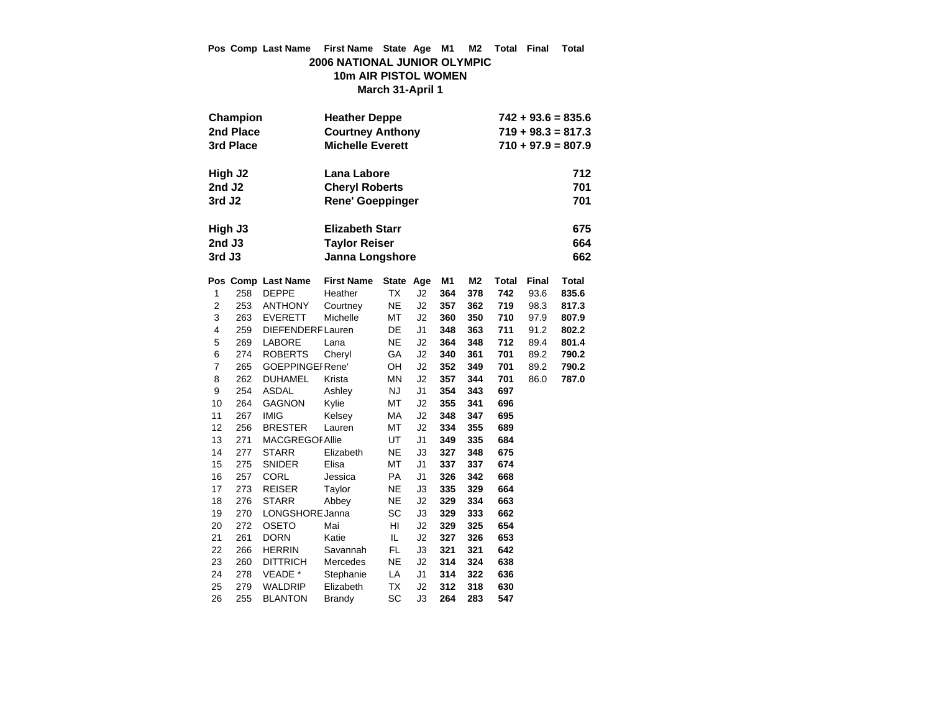### **Pos Comp Last Name First Name State Age M1 M2 Total Final Total 2006 NATIONAL JUNIOR OLYMPIC 10m AIR PISTOL WOMEN March 31-April 1**

|                    | Champion<br>2nd Place<br>3rd Place |                                          | <b>Heather Deppe</b><br><b>Courtney Anthony</b><br><b>Michelle Everett</b> |           | $742 + 93.6 = 835.6$<br>$719 + 98.3 = 817.3$<br>$710 + 97.9 = 807.9$ |            |                |            |       |              |  |
|--------------------|------------------------------------|------------------------------------------|----------------------------------------------------------------------------|-----------|----------------------------------------------------------------------|------------|----------------|------------|-------|--------------|--|
|                    | High J2                            |                                          | Lana Labore                                                                |           |                                                                      |            |                |            |       | 712          |  |
| 2nd J <sub>2</sub> |                                    |                                          | 701<br><b>Cheryl Roberts</b>                                               |           |                                                                      |            |                |            |       |              |  |
| 3rd J <sub>2</sub> |                                    |                                          | <b>Rene' Goeppinger</b>                                                    |           |                                                                      |            |                |            |       | 701          |  |
|                    | High J3                            |                                          | <b>Elizabeth Starr</b>                                                     |           |                                                                      |            |                |            |       | 675          |  |
| 2nd J3             |                                    |                                          | <b>Taylor Reiser</b>                                                       |           |                                                                      |            |                |            |       | 664          |  |
| 3rd J3             |                                    |                                          | Janna Longshore                                                            |           |                                                                      |            | 662            |            |       |              |  |
|                    |                                    | Pos Comp Last Name                       | <b>First Name</b>                                                          | State Age |                                                                      | M1         | M <sub>2</sub> | Total      | Final | <b>Total</b> |  |
| 1                  | 258                                | <b>DEPPE</b>                             | Heather                                                                    | TX        | J2                                                                   | 364        | 378            | 742        | 93.6  | 835.6        |  |
| $\overline{2}$     | 253                                | <b>ANTHONY</b>                           | Courtney                                                                   | <b>NE</b> | J2                                                                   | 357        | 362            | 719        | 98.3  | 817.3        |  |
| 3                  | 263                                | <b>EVERETT</b>                           | Michelle                                                                   | МT        | J2                                                                   | 360        | 350            | 710        | 97.9  | 807.9        |  |
| 4                  | 259                                | DIEFENDERF Lauren                        |                                                                            | DE        | J1                                                                   | 348        | 363            | 711        | 91.2  | 802.2        |  |
| 5                  | 269                                | LABORE                                   | Lana                                                                       | <b>NE</b> | J2                                                                   | 364        | 348            | 712        | 89.4  | 801.4        |  |
| 6                  | 274                                | <b>ROBERTS</b>                           | Cheryl                                                                     | GA        | J2                                                                   | 340        | 361            | 701        | 89.2  | 790.2        |  |
| $\boldsymbol{7}$   | 265                                | <b>GOEPPINGEI Rene'</b>                  |                                                                            | OН        | J2                                                                   | 352        | 349            | 701        | 89.2  | 790.2        |  |
| 8                  | 262                                | <b>DUHAMEL</b>                           | Krista                                                                     | <b>MN</b> | J2                                                                   | 357        | 344            | 701        | 86.0  | 787.0        |  |
| 9                  | 254                                | ASDAL                                    | Ashley                                                                     | <b>NJ</b> | J <sub>1</sub>                                                       | 354        | 343            | 697        |       |              |  |
| 10                 | 264                                | <b>GAGNON</b>                            | Kylie                                                                      | МT        | J2                                                                   | 355        | 341            | 696        |       |              |  |
| 11                 | 267                                | <b>IMIG</b>                              | Kelsey                                                                     | МA        | J2                                                                   | 348        | 347            | 695        |       |              |  |
| 12<br>13           | 256<br>271                         | <b>BRESTER</b><br><b>MACGREGOF Allie</b> | Lauren                                                                     | МT<br>UT  | J2<br>J <sub>1</sub>                                                 | 334<br>349 | 355            | 689        |       |              |  |
| 14                 | 277                                | <b>STARR</b>                             | Elizabeth                                                                  | <b>NE</b> | J3                                                                   | 327        | 335<br>348     | 684<br>675 |       |              |  |
| 15                 | 275                                | <b>SNIDER</b>                            | Elisa                                                                      | MT        | J <sub>1</sub>                                                       | 337        | 337            | 674        |       |              |  |
| 16                 | 257                                | <b>CORL</b>                              | Jessica                                                                    | <b>PA</b> | J <sub>1</sub>                                                       | 326        | 342            | 668        |       |              |  |
| 17                 | 273                                | <b>REISER</b>                            | Taylor                                                                     | <b>NE</b> | J3                                                                   | 335        | 329            | 664        |       |              |  |
| 18                 | 276                                | <b>STARR</b>                             | Abbey                                                                      | <b>NE</b> | J2                                                                   | 329        | 334            | 663        |       |              |  |
| 19                 | 270                                | LONGSHORE Janna                          |                                                                            | SC        | J3                                                                   | 329        | 333            | 662        |       |              |  |
| 20                 | 272                                | <b>OSETO</b>                             | Mai                                                                        | HI        | J2                                                                   | 329        | 325            | 654        |       |              |  |
| 21                 | 261                                | <b>DORN</b>                              | Katie                                                                      | IL        | J2                                                                   | 327        | 326            | 653        |       |              |  |
| 22                 | 266                                | <b>HERRIN</b>                            | Savannah                                                                   | FL.       | J3                                                                   | 321        | 321            | 642        |       |              |  |
| 23                 | 260                                | <b>DITTRICH</b>                          | Mercedes                                                                   | <b>NE</b> | J2                                                                   | 314        | 324            | 638        |       |              |  |
| 24                 | 278                                | VEADE *                                  | Stephanie                                                                  | LA        | J1                                                                   | 314        | 322            | 636        |       |              |  |
| 25                 | 279                                | WALDRIP                                  | Elizabeth                                                                  | <b>TX</b> | J2                                                                   | 312        | 318            | 630        |       |              |  |
| 26                 | 255                                | <b>BLANTON</b>                           | Brandy                                                                     | SC        | J3                                                                   | 264        | 283            | 547        |       |              |  |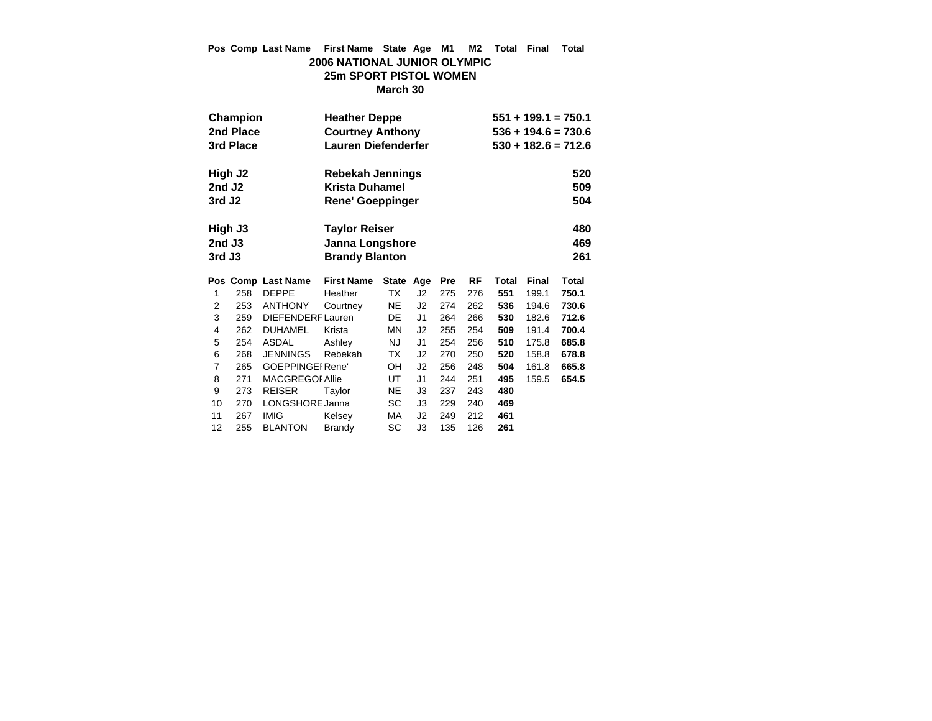## **Pos Comp Last Name First Name State Age M1 M2 Total Final Total 2006 NATIONAL JUNIOR OLYMPIC 25m SPORT PISTOL WOMEN**

**March 30**

|                    | Champion  |                         | <b>Heather Deppe</b>         |              | $551 + 199.1 = 750.1$ |            |     |       |       |       |
|--------------------|-----------|-------------------------|------------------------------|--------------|-----------------------|------------|-----|-------|-------|-------|
|                    | 2nd Place |                         | <b>Courtney Anthony</b>      |              | $536 + 194.6 = 730.6$ |            |     |       |       |       |
|                    | 3rd Place |                         | <b>Lauren Diefenderfer</b>   |              | $530 + 182.6 = 712.6$ |            |     |       |       |       |
|                    |           |                         |                              |              |                       |            |     |       |       |       |
|                    | High J2   |                         | Rebekah Jennings             |              |                       |            |     |       |       | 520   |
| 2nd J <sub>2</sub> |           |                         | <b>Krista Duhamel</b>        |              |                       |            |     |       |       | 509   |
| 3rd J <sub>2</sub> |           |                         | Rene' Goeppinger             |              |                       |            |     |       |       | 504   |
|                    |           |                         |                              |              |                       |            |     |       |       |       |
|                    | High J3   |                         | <b>Taylor Reiser</b>         |              |                       |            |     |       |       | 480   |
| $2nd$ J3           |           |                         | 469<br>Janna Longshore       |              |                       |            |     |       |       |       |
| 3rd J3             |           |                         | 261<br><b>Brandy Blanton</b> |              |                       |            |     |       |       |       |
|                    |           |                         |                              |              |                       |            |     |       |       |       |
|                    |           |                         |                              |              |                       |            |     |       |       |       |
|                    |           | Pos Comp Last Name      | <b>First Name</b>            | <b>State</b> | Age                   | <b>Pre</b> | RF  | Total | Final | Total |
| 1                  | 258       | <b>DEPPE</b>            | Heather                      | <b>TX</b>    | J <sub>2</sub>        | 275        | 276 | 551   | 199.1 | 750.1 |
| 2                  | 253       | <b>ANTHONY</b>          | Courtney                     | <b>NE</b>    | J <sub>2</sub>        | 274        | 262 | 536   | 194.6 | 730.6 |
| 3                  | 259       | <b>DIEFENDERFLauren</b> |                              | DE           | J1                    | 264        | 266 | 530   | 182.6 | 712.6 |
| 4                  | 262       | <b>DUHAMEL</b>          | Krista                       | ΜN           | J2                    | 255        | 254 | 509   | 191.4 | 700.4 |
| 5                  | 254       | <b>ASDAL</b>            | Ashley                       | <b>NJ</b>    | J1                    | 254        | 256 | 510   | 175.8 | 685.8 |
| 6                  | 268       | <b>JENNINGS</b>         | Rebekah                      | ТX           | J <sub>2</sub>        | 270        | 250 | 520   | 158.8 | 678.8 |
| 7                  | 265       | <b>GOEPPINGEI Rene'</b> |                              | OH           | J <sub>2</sub>        | 256        | 248 | 504   | 161.8 | 665.8 |
| 8                  | 271       | <b>MACGREGOF Allie</b>  |                              | UT           | J1                    | 244        | 251 | 495   | 159.5 | 654.5 |
| 9                  | 273       | <b>REISER</b>           | Taylor                       | <b>NE</b>    | J3                    | 237        | 243 | 480   |       |       |
| 10                 | 270       | LONGSHORE Janna         |                              | SC           | J3                    | 229        | 240 | 469   |       |       |
| 11                 | 267       | <b>IMIG</b>             | Kelsey                       | МA           | J2                    | 249        | 212 | 461   |       |       |